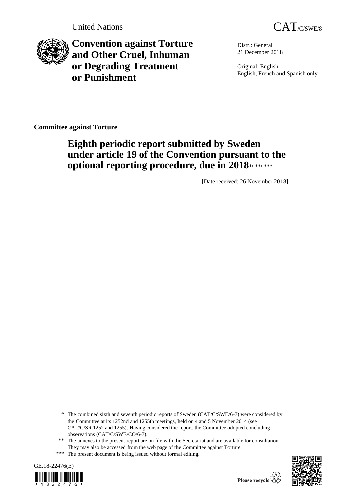

**Convention against Torture and Other Cruel, Inhuman or Degrading Treatment or Punishment**

Distr.: General 21 December 2018

Original: English English, French and Spanish only

**Committee against Torture**

# **Eighth periodic report submitted by Sweden under article 19 of the Convention pursuant to the**  optional reporting procedure, due in 2018\*, \*\*, \*\*\*

[Date received: 26 November 2018]

<sup>\*\*\*</sup> The present document is being issued without formal editing.





<sup>\*</sup> The combined sixth and seventh periodic reports of Sweden (CAT/C/SWE/6-7) were considered by the Committee at its 1252nd and 1255th meetings, held on 4 and 5 November 2014 (see CAT/C/SR.1252 and 1255). Having considered the report, the Committee adopted concluding observations (CAT/C/SWE/CO/6-7).

<sup>\*\*</sup> The annexes to the present report are on file with the Secretariat and are available for consultation. They may also be accessed from the web page of the Committee against Torture.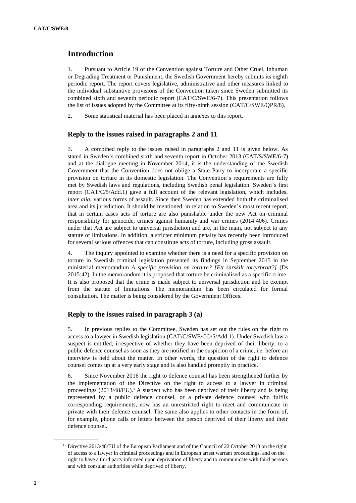# **Introduction**

1. Pursuant to Article 19 of the Convention against Torture and Other Cruel, Inhuman or Degrading Treatment or Punishment, the Swedish Government hereby submits its eighth periodic report. The report covers legislative, administrative and other measures linked to the individual substantive provisions of the Convention taken since Sweden submitted its combined sixth and seventh periodic report (CAT/C/SWE/6-7). This presentation follows the list of issues adopted by the Committee at its fifty-ninth session (CAT/C/SWE/QPR/8).

2. Some statistical material has been placed in annexes to this report.

# **Reply to the issues raised in paragraphs 2 and 11**

3. A combined reply to the issues raised in paragraphs 2 and 11 is given below. As stated in Sweden's combined sixth and seventh report in October 2013 (CAT/S/SWE/6-7) and at the dialogue meeting in November 2014, it is the understanding of the Swedish Government that the Convention does not oblige a State Party to incorporate a specific provision on torture in its domestic legislation. The Convention's requirements are fully met by Swedish laws and regulations, including Swedish penal legislation. Sweden's first report (CAT/C/5/Add.1) gave a full account of the relevant legislation, which includes, *inter alia*, various forms of assault. Since then Sweden has extended both the criminalised area and its jurisdiction. It should be mentioned, in relation to Sweden's most recent report, that in certain cases acts of torture are also punishable under the new Act on criminal responsibility for genocide, crimes against humanity and war crimes (2014:406). Crimes under that Act are subject to universal jurisdiction and are, in the main, not subject to any statute of limitations. In addition, a stricter minimum penalty has recently been introduced for several serious offences that can constitute acts of torture, including gross assault.

4. The inquiry appointed to examine whether there is a need for a specific provision on torture in Swedish criminal legislation presented its findings in September 2015 in the ministerial memorandum *A specific provision on torture? [Ett särskilt tortyrbrott?]* (Ds 2015:42). In the memorandum it is proposed that torture be criminalised as a specific crime. It is also proposed that the crime is made subject to universal jurisdiction and be exempt from the statute of limitations. The memorandum has been circulated for formal consultation. The matter is being considered by the Government Offices.

# **Reply to the issues raised in paragraph 3 (a)**

5. In previous replies to the Committee, Sweden has set out the rules on the right to access to a lawyer in Swedish legislation (CAT/C/SWE/CO/5/Add.1). Under Swedish law a suspect is entitled, irrespective of whether they have been deprived of their liberty, to a public defence counsel as soon as they are notified in the suspicion of a crime, i.e. before an interview is held about the matter. In other words, the question of the right to defence counsel comes up at a very early stage and is also handled promptly in practice.

6. Since November 2016 the right to defence counsel has been strengthened further by the implementation of the Directive on the right to access to a lawyer in criminal proceedings  $(2013/48/EU)$ .<sup>1</sup> A suspect who has been deprived of their liberty and is being represented by a public defence counsel, or a private defence counsel who fulfils corresponding requirements, now has an unrestricted right to meet and communicate in private with their defence counsel. The same also applies to other contacts in the form of, for example, phone calls or letters between the person deprived of their liberty and their defence counsel.

<sup>&</sup>lt;sup>1</sup> Directive 2013/48/EU of the European Parliament and of the Council of 22 October 2013 on the right of access to a lawyer in criminal proceedings and in European arrest warrant proceedings, and on the right to have a third party informed upon deprivation of liberty and to communicate with third persons and with consular authorities while deprived of liberty.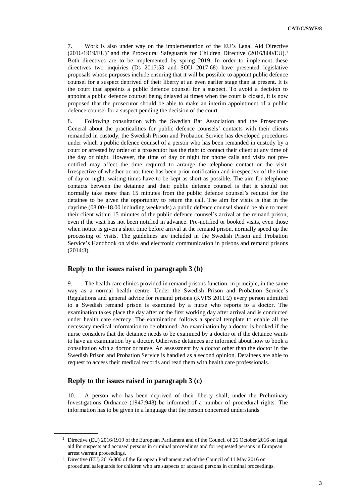7. Work is also under way on the implementation of the EU's Legal Aid Directive  $(2016/1919/EU)^2$  and the Procedural Safeguards for Children Directive  $(2016/800/EU)^3$ Both directives are to be implemented by spring 2019. In order to implement these directives two inquiries (Ds 2017:53 and SOU 2017:68) have presented legislative proposals whose purposes include ensuring that it will be possible to appoint public defence counsel for a suspect deprived of their liberty at an even earlier stage than at present. It is the court that appoints a public defence counsel for a suspect. To avoid a decision to appoint a public defence counsel being delayed at times when the court is closed, it is now proposed that the prosecutor should be able to make an interim appointment of a public defence counsel for a suspect pending the decision of the court.

8. Following consultation with the Swedish Bar Association and the Prosecutor-General about the practicalities for public defence counsels' contacts with their clients remanded in custody, the Swedish Prison and Probation Service has developed procedures under which a public defence counsel of a person who has been remanded in custody by a court or arrested by order of a prosecutor has the right to contact their client at any time of the day or night. However, the time of day or night for phone calls and visits not prenotified may affect the time required to arrange the telephone contact or the visit. Irrespective of whether or not there has been prior notification and irrespective of the time of day or night, waiting times have to be kept as short as possible. The aim for telephone contacts between the detainee and their public defence counsel is that it should not normally take more than 15 minutes from the public defence counsel's request for the detainee to be given the opportunity to return the call. The aim for visits is that in the daytime (08.00–18.00 including weekends) a public defence counsel should be able to meet their client within 15 minutes of the public defence counsel's arrival at the remand prison, even if the visit has not been notified in advance. Pre-notified or booked visits, even those when notice is given a short time before arrival at the remand prison, normally speed up the processing of visits. The guidelines are included in the Swedish Prison and Probation Service's Handbook on visits and electronic communication in prisons and remand prisons (2014:3).

# **Reply to the issues raised in paragraph 3 (b)**

9. The health care clinics provided in remand prisons function, in principle, in the same way as a normal health centre. Under the Swedish Prison and Probation Service's Regulations and general advice for remand prisons (KVFS 2011:2) every person admitted to a Swedish remand prison is examined by a nurse who reports to a doctor. The examination takes place the day after or the first working day after arrival and is conducted under health care secrecy. The examination follows a special template to enable all the necessary medical information to be obtained. An examination by a doctor is booked if the nurse considers that the detainee needs to be examined by a doctor or if the detainee wants to have an examination by a doctor. Otherwise detainees are informed about how to book a consultation with a doctor or nurse. An assessment by a doctor other than the doctor in the Swedish Prison and Probation Service is handled as a second opinion. Detainees are able to request to access their medical records and read them with health care professionals.

### **Reply to the issues raised in paragraph 3 (c)**

10. A person who has been deprived of their liberty shall, under the Preliminary Investigations Ordnance (1947:948) be informed of a number of procedural rights. The information has to be given in a language that the person concerned understands.

<sup>&</sup>lt;sup>2</sup> Directive (EU) 2016/1919 of the European Parliament and of the Council of 26 October 2016 on legal aid for suspects and accused persons in criminal proceedings and for requested persons in European arrest warrant proceedings.

<sup>&</sup>lt;sup>3</sup> Directive (EU) 2016/800 of the European Parliament and of the Council of 11 May 2016 on procedural safeguards for children who are suspects or accused persons in criminal proceedings.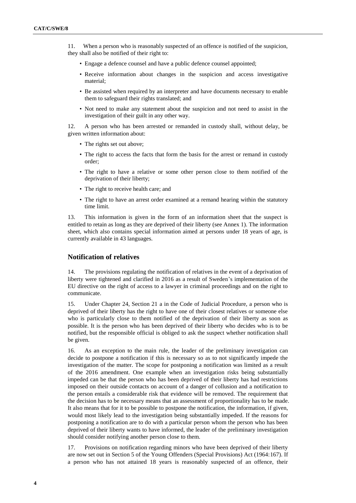11. When a person who is reasonably suspected of an offence is notified of the suspicion, they shall also be notified of their right to:

- Engage a defence counsel and have a public defence counsel appointed;
- Receive information about changes in the suspicion and access investigative material;
- Be assisted when required by an interpreter and have documents necessary to enable them to safeguard their rights translated; and
- Not need to make any statement about the suspicion and not need to assist in the investigation of their guilt in any other way.

12. A person who has been arrested or remanded in custody shall, without delay, be given written information about:

- The rights set out above;
- The right to access the facts that form the basis for the arrest or remand in custody order;
- The right to have a relative or some other person close to them notified of the deprivation of their liberty;
- The right to receive health care; and
- The right to have an arrest order examined at a remand hearing within the statutory time limit.

13. This information is given in the form of an information sheet that the suspect is entitled to retain as long as they are deprived of their liberty (see Annex 1). The information sheet, which also contains special information aimed at persons under 18 years of age, is currently available in 43 languages.

# **Notification of relatives**

14. The provisions regulating the notification of relatives in the event of a deprivation of liberty were tightened and clarified in 2016 as a result of Sweden's implementation of the EU directive on the right of access to a lawyer in criminal proceedings and on the right to communicate.

15. Under Chapter 24, Section 21 a in the Code of Judicial Procedure, a person who is deprived of their liberty has the right to have one of their closest relatives or someone else who is particularly close to them notified of the deprivation of their liberty as soon as possible. It is the person who has been deprived of their liberty who decides who is to be notified, but the responsible official is obliged to ask the suspect whether notification shall be given.

16. As an exception to the main rule, the leader of the preliminary investigation can decide to postpone a notification if this is necessary so as to not significantly impede the investigation of the matter. The scope for postponing a notification was limited as a result of the 2016 amendment. One example when an investigation risks being substantially impeded can be that the person who has been deprived of their liberty has had restrictions imposed on their outside contacts on account of a danger of collusion and a notification to the person entails a considerable risk that evidence will be removed. The requirement that the decision has to be necessary means that an assessment of proportionality has to be made. It also means that for it to be possible to postpone the notification, the information, if given, would most likely lead to the investigation being substantially impeded. If the reasons for postponing a notification are to do with a particular person whom the person who has been deprived of their liberty wants to have informed, the leader of the preliminary investigation should consider notifying another person close to them.

17. Provisions on notification regarding minors who have been deprived of their liberty are now set out in Section 5 of the Young Offenders (Special Provisions) Act (1964:167). If a person who has not attained 18 years is reasonably suspected of an offence, their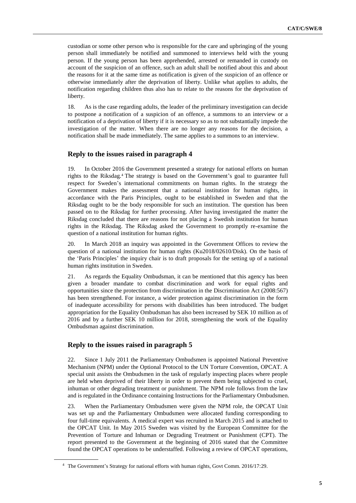custodian or some other person who is responsible for the care and upbringing of the young person shall immediately be notified and summoned to interviews held with the young person. If the young person has been apprehended, arrested or remanded in custody on account of the suspicion of an offence, such an adult shall be notified about this and about the reasons for it at the same time as notification is given of the suspicion of an offence or otherwise immediately after the deprivation of liberty. Unlike what applies to adults, the notification regarding children thus also has to relate to the reasons for the deprivation of liberty.

18. As is the case regarding adults, the leader of the preliminary investigation can decide to postpone a notification of a suspicion of an offence, a summons to an interview or a notification of a deprivation of liberty if it is necessary so as to not substantially impede the investigation of the matter. When there are no longer any reasons for the decision, a notification shall be made immediately. The same applies to a summons to an interview.

# **Reply to the issues raised in paragraph 4**

19. In October 2016 the Government presented a strategy for national efforts on human rights to the Riksdag.<sup>4</sup> The strategy is based on the Government's goal to guarantee full respect for Sweden's international commitments on human rights. In the strategy the Government makes the assessment that a national institution for human rights, in accordance with the Paris Principles, ought to be established in Sweden and that the Riksdag ought to be the body responsible for such an institution. The question has been passed on to the Riksdag for further processing. After having investigated the matter the Riksdag concluded that there are reasons for not placing a Swedish institution for human rights in the Riksdag. The Riksdag asked the Government to promptly re-examine the question of a national institution for human rights.

20. In March 2018 an inquiry was appointed in the Government Offices to review the question of a national institution for human rights (Ku2018/02610/Disk). On the basis of the 'Paris Principles' the inquiry chair is to draft proposals for the setting up of a national human rights institution in Sweden.

21. As regards the Equality Ombudsman, it can be mentioned that this agency has been given a broader mandate to combat discrimination and work for equal rights and opportunities since the protection from discrimination in the Discrimination Act (2008:567) has been strengthened. For instance, a wider protection against discrimination in the form of inadequate accessibility for persons with disabilities has been introduced. The budget appropriation for the Equality Ombudsman has also been increased by SEK 10 million as of 2016 and by a further SEK 10 million for 2018, strengthening the work of the Equality Ombudsman against discrimination.

# **Reply to the issues raised in paragraph 5**

22. Since 1 July 2011 the Parliamentary Ombudsmen is appointed National Preventive Mechanism (NPM) under the Optional Protocol to the UN Torture Convention, OPCAT. A special unit assists the Ombudsmen in the task of regularly inspecting places where people are held when deprived of their liberty in order to prevent them being subjected to cruel, inhuman or other degrading treatment or punishment. The NPM role follows from the law and is regulated in the Ordinance containing Instructions for the Parliamentary Ombudsmen.

23. When the Parliamentary Ombudsmen were given the NPM role, the OPCAT Unit was set up and the Parliamentary Ombudsmen were allocated funding corresponding to four full-time equivalents. A medical expert was recruited in March 2015 and is attached to the OPCAT Unit. In May 2015 Sweden was visited by the European Committee for the Prevention of Torture and Inhuman or Degrading Treatment or Punishment (CPT). The report presented to the Government at the beginning of 2016 stated that the Committee found the OPCAT operations to be understaffed. Following a review of OPCAT operations,

<sup>4</sup> The Government's Strategy for national efforts with human rights, Govt Comm. 2016/17:29.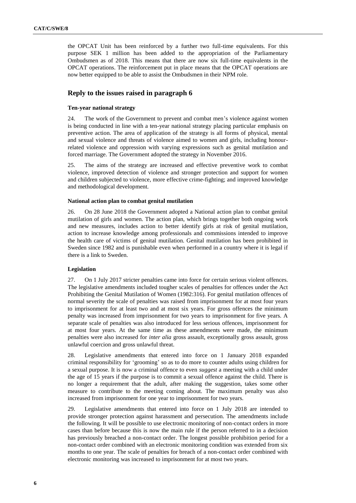the OPCAT Unit has been reinforced by a further two full-time equivalents. For this purpose SEK 1 million has been added to the appropriation of the Parliamentary Ombudsmen as of 2018. This means that there are now six full-time equivalents in the OPCAT operations. The reinforcement put in place means that the OPCAT operations are now better equipped to be able to assist the Ombudsmen in their NPM role.

# **Reply to the issues raised in paragraph 6**

# **Ten-year national strategy**

24. The work of the Government to prevent and combat men's violence against women is being conducted in line with a ten-year national strategy placing particular emphasis on preventive action. The area of application of the strategy is all forms of physical, mental and sexual violence and threats of violence aimed to women and girls, including honourrelated violence and oppression with varying expressions such as genital mutilation and forced marriage. The Government adopted the strategy in November 2016.

25. The aims of the strategy are increased and effective preventive work to combat violence, improved detection of violence and stronger protection and support for women and children subjected to violence, more effective crime-fighting; and improved knowledge and methodological development.

### **National action plan to combat genital mutilation**

26. On 28 June 2018 the Government adopted a National action plan to combat genital mutilation of girls and women. The action plan, which brings together both ongoing work and new measures, includes action to better identify girls at risk of genital mutilation, action to increase knowledge among professionals and commissions intended to improve the health care of victims of genital mutilation. Genital mutilation has been prohibited in Sweden since 1982 and is punishable even when performed in a country where it is legal if there is a link to Sweden.

### **Legislation**

27. On 1 July 2017 stricter penalties came into force for certain serious violent offences. The legislative amendments included tougher scales of penalties for offences under the Act Prohibiting the Genital Mutilation of Women (1982:316). For genital mutilation offences of normal severity the scale of penalties was raised from imprisonment for at most four years to imprisonment for at least two and at most six years. For gross offences the minimum penalty was increased from imprisonment for two years to imprisonment for five years. A separate scale of penalties was also introduced for less serious offences, imprisonment for at most four years. At the same time as these amendments were made, the minimum penalties were also increased for *inter alia* gross assault, exceptionally gross assault, gross unlawful coercion and gross unlawful threat.

28. Legislative amendments that entered into force on 1 January 2018 expanded criminal responsibility for 'grooming' so as to do more to counter adults using children for a sexual purpose. It is now a criminal offence to even *suggest* a meeting with a child under the age of 15 years if the purpose is to commit a sexual offence against the child. There is no longer a requirement that the adult, after making the suggestion, takes some other measure to contribute to the meeting coming about. The maximum penalty was also increased from imprisonment for one year to imprisonment for two years.

29. Legislative amendments that entered into force on 1 July 2018 are intended to provide stronger protection against harassment and persecution. The amendments include the following. It will be possible to use electronic monitoring of non-contact orders in more cases than before because this is now the main rule if the person referred to in a decision has previously breached a non-contact order. The longest possible prohibition period for a non-contact order combined with an electronic monitoring condition was extended from six months to one year. The scale of penalties for breach of a non-contact order combined with electronic monitoring was increased to imprisonment for at most two years.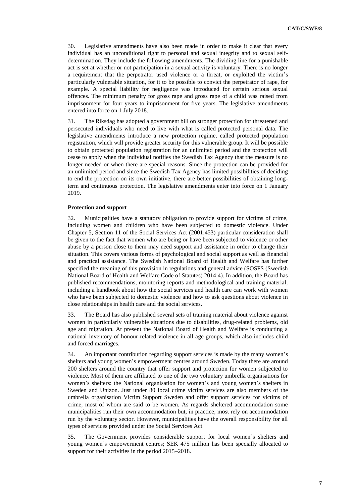30. Legislative amendments have also been made in order to make it clear that every individual has an unconditional right to personal and sexual integrity and to sexual selfdetermination. They include the following amendments. The dividing line for a punishable act is set at whether or not participation in a sexual activity is voluntary. There is no longer a requirement that the perpetrator used violence or a threat, or exploited the victim's particularly vulnerable situation, for it to be possible to convict the perpetrator of rape, for example. A special liability for negligence was introduced for certain serious sexual offences. The minimum penalty for gross rape and gross rape of a child was raised from imprisonment for four years to imprisonment for five years. The legislative amendments entered into force on 1 July 2018.

31. The Riksdag has adopted a government bill on stronger protection for threatened and persecuted individuals who need to live with what is called protected personal data. The legislative amendments introduce a new protection regime, called protected population registration, which will provide greater security for this vulnerable group. It will be possible to obtain protected population registration for an unlimited period and the protection will cease to apply when the individual notifies the Swedish Tax Agency that the measure is no longer needed or when there are special reasons. Since the protection can be provided for an unlimited period and since the Swedish Tax Agency has limited possibilities of deciding to end the protection on its own initiative, there are better possibilities of obtaining longterm and continuous protection. The legislative amendments enter into force on 1 January 2019.

### **Protection and support**

32. Municipalities have a statutory obligation to provide support for victims of crime, including women and children who have been subjected to domestic violence. Under Chapter 5, Section 11 of the Social Services Act (2001:453) particular consideration shall be given to the fact that women who are being or have been subjected to violence or other abuse by a person close to them may need support and assistance in order to change their situation. This covers various forms of psychological and social support as well as financial and practical assistance. The Swedish National Board of Health and Welfare has further specified the meaning of this provision in regulations and general advice (SOSFS (Swedish National Board of Health and Welfare Code of Statutes) 2014:4). In addition, the Board has published recommendations, monitoring reports and methodological and training material, including a handbook about how the social services and health care can work with women who have been subjected to domestic violence and how to ask questions about violence in close relationships in health care and the social services.

33. The Board has also published several sets of training material about violence against women in particularly vulnerable situations due to disabilities, drug-related problems, old age and migration. At present the National Board of Health and Welfare is conducting a national inventory of honour-related violence in all age groups, which also includes child and forced marriages.

34. An important contribution regarding support services is made by the many women's shelters and young women's empowerment centres around Sweden. Today there are around 200 shelters around the country that offer support and protection for women subjected to violence. Most of them are affiliated to one of the two voluntary umbrella organisations for women's shelters: the National organisation for women's and young women's shelters in Sweden and Unizon. Just under 80 local crime victim services are also members of the umbrella organisation Victim Support Sweden and offer support services for victims of crime, most of whom are said to be women. As regards sheltered accommodation some municipalities run their own accommodation but, in practice, most rely on accommodation run by the voluntary sector. However, municipalities have the overall responsibility for all types of services provided under the Social Services Act.

35. The Government provides considerable support for local women's shelters and young women's empowerment centres; SEK 475 million has been specially allocated to support for their activities in the period 2015–2018.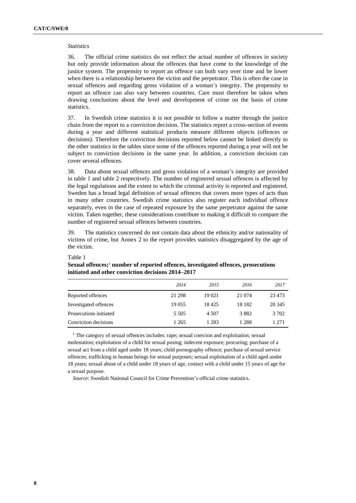#### *Statistics*

36. The official crime statistics do not reflect the actual number of offences in society but only provide information about the offences that have come to the knowledge of the justice system. The propensity to report an offence can both vary over time and be lower when there is a relationship between the victim and the perpetrator. This is often the case in sexual offences and regarding gross violation of a woman's integrity. The propensity to report an offence can also vary between countries. Care must therefore be taken when drawing conclusions about the level and development of crime on the basis of crime statistics.

37. In Swedish crime statistics it is not possible to follow a matter through the justice chain from the report to a conviction decision. The statistics report a cross-section of events during a year and different statistical products measure different objects (offences or decisions). Therefore the conviction decisions reported below cannot be linked directly to the other statistics in the tables since some of the offences reported during a year will not be subject to conviction decisions in the same year. In addition, a conviction decision can cover several offences.

38. Data about sexual offences and gross violation of a woman's integrity are provided in table 1 and table 2 respectively. The number of registered sexual offences is affected by the legal regulations and the extent to which the criminal activity is reported and registered. Sweden has a broad legal definition of sexual offences that covers more types of acts than in many other countries. Swedish crime statistics also register each individual offence separately, even in the case of repeated exposure by the same perpetrator against the same victim. Taken together, these considerations contribute to making it difficult to compare the number of registered sexual offences between countries.

39. The statistics concerned do not contain data about the ethnicity and/or nationality of victims of crime, but Annex 2 to the report provides statistics disaggregated by the age of the victim.

|                        | 2014    | 2015    | 2016    | 2017   |
|------------------------|---------|---------|---------|--------|
| Reported offences      | 21 298  | 19 0 21 | 21 0 74 | 23 473 |
| Investigated offences  | 19 0 55 | 18425   | 18 182  | 20 345 |
| Prosecutions initiated | 5 5 0 5 | 4.507   | 3882    | 3 702  |
| Conviction decisions   | 1 2 6 5 | 1 2 8 3 | 1 2 8 8 | 1 271  |

### Table 1

# **Sexual offences;**<sup>1</sup> **number of reported offences, investigated offences, prosecutions initiated and other conviction decisions 2014–2017**

<sup>1</sup> The category of sexual offences includes: rape; sexual coercion and exploitation; sexual molestation; exploitation of a child for sexual posing; indecent exposure; procuring; purchase of a sexual act from a child aged under 18 years; child pornography offence; purchase of sexual service offences; trafficking in human beings for sexual purposes; sexual exploitation of a child aged under 18 years; sexual abuse of a child under 18 years of age, contact with a child under 15 years of age for a sexual purpose.

*Source*: Swedish National Council for Crime Prevention's official crime statistics.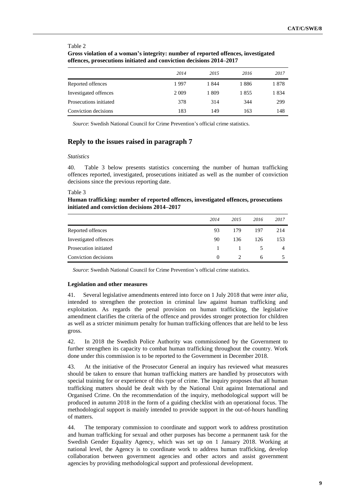### Table 2

|                        | 2014    | 2015 | 2016 | 2017 |
|------------------------|---------|------|------|------|
| Reported offences      | 1997    | 1844 | 1886 | 1878 |
| Investigated offences  | 2 0 0 9 | 1809 | 1855 | 1834 |
| Prosecutions initiated | 378     | 314  | 344  | 299  |
| Conviction decisions   | 183     | 149  | 163  | 148  |

# **Gross violation of a woman's integrity: number of reported offences, investigated offences, prosecutions initiated and conviction decisions 2014–2017**

*Source*: Swedish National Council for Crime Prevention's official crime statistics.

# **Reply to the issues raised in paragraph 7**

#### *Statistics*

40. Table 3 below presents statistics concerning the number of human trafficking offences reported, investigated, prosecutions initiated as well as the number of conviction decisions since the previous reporting date.

#### Table 3

# **Human trafficking: number of reported offences, investigated offences, prosecutions initiated and conviction decisions 2014–2017**

|                       | 2014             | 2015 | 2016                     | 2017 |
|-----------------------|------------------|------|--------------------------|------|
| Reported offences     | 93               | 179  | 197                      | 214  |
| Investigated offences | 90               | 136  | 126                      | 153  |
| Prosecution initiated | $1 \quad \cdots$ |      | $\overline{\phantom{1}}$ |      |
| Conviction decisions  | $\theta$         |      | 6                        |      |

*Source*: Swedish National Council for Crime Prevention's official crime statistics.

### **Legislation and other measures**

41. Several legislative amendments entered into force on 1 July 2018 that were *inter alia*, intended to strengthen the protection in criminal law against human trafficking and exploitation. As regards the penal provision on human trafficking, the legislative amendment clarifies the criteria of the offence and provides stronger protection for children as well as a stricter minimum penalty for human trafficking offences that are held to be less gross.

42. In 2018 the Swedish Police Authority was commissioned by the Government to further strengthen its capacity to combat human trafficking throughout the country. Work done under this commission is to be reported to the Government in December 2018.

43. At the initiative of the Prosecutor General an inquiry has reviewed what measures should be taken to ensure that human trafficking matters are handled by prosecutors with special training for or experience of this type of crime. The inquiry proposes that all human trafficking matters should be dealt with by the National Unit against International and Organised Crime. On the recommendation of the inquiry, methodological support will be produced in autumn 2018 in the form of a guiding checklist with an operational focus. The methodological support is mainly intended to provide support in the out-of-hours handling of matters.

44. The temporary commission to coordinate and support work to address prostitution and human trafficking for sexual and other purposes has become a permanent task for the Swedish Gender Equality Agency, which was set up on 1 January 2018. Working at national level, the Agency is to coordinate work to address human trafficking, develop collaboration between government agencies and other actors and assist government agencies by providing methodological support and professional development.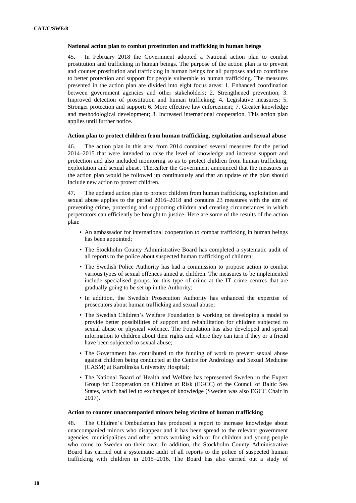### **National action plan to combat prostitution and trafficking in human beings**

45. In February 2018 the Government adopted a National action plan to combat prostitution and trafficking in human beings. The purpose of the action plan is to prevent and counter prostitution and trafficking in human beings for all purposes and to contribute to better protection and support for people vulnerable to human trafficking. The measures presented in the action plan are divided into eight focus areas: 1. Enhanced coordination between government agencies and other stakeholders; 2. Strengthened prevention; 3. Improved detection of prostitution and human trafficking; 4. Legislative measures; 5. Stronger protection and support; 6. More effective law enforcement; 7. Greater knowledge and methodological development; 8. Increased international cooperation. This action plan applies until further notice.

### **Action plan to protect children from human trafficking, exploitation and sexual abuse**

46. The action plan in this area from 2014 contained several measures for the period 2014–2015 that were intended to raise the level of knowledge and increase support and protection and also included monitoring so as to protect children from human trafficking, exploitation and sexual abuse. Thereafter the Government announced that the measures in the action plan would be followed up continuously and that an update of the plan should include new action to protect children.

47. The updated action plan to protect children from human trafficking, exploitation and sexual abuse applies to the period 2016–2018 and contains 23 measures with the aim of preventing crime, protecting and supporting children and creating circumstances in which perpetrators can efficiently be brought to justice. Here are some of the results of the action plan:

- An ambassador for international cooperation to combat trafficking in human beings has been appointed;
- The Stockholm County Administrative Board has completed a systematic audit of all reports to the police about suspected human trafficking of children;
- The Swedish Police Authority has had a commission to propose action to combat various types of sexual offences aimed at children. The measures to be implemented include specialised groups for this type of crime at the IT crime centres that are gradually going to be set up in the Authority;
- In addition, the Swedish Prosecution Authority has enhanced the expertise of prosecutors about human trafficking and sexual abuse;
- The Swedish Children's Welfare Foundation is working on developing a model to provide better possibilities of support and rehabilitation for children subjected to sexual abuse or physical violence. The Foundation has also developed and spread information to children about their rights and where they can turn if they or a friend have been subjected to sexual abuse;
- The Government has contributed to the funding of work to prevent sexual abuse against children being conducted at the Centre for Andrology and Sexual Medicine (CASM) at Karolinska University Hospital;
- The National Board of Health and Welfare has represented Sweden in the Expert Group for Cooperation on Children at Risk (EGCC) of the Council of Baltic Sea States, which had led to exchanges of knowledge (Sweden was also EGCC Chair in 2017).

### **Action to counter unaccompanied minors being victims of human trafficking**

48. The Children's Ombudsman has produced a report to increase knowledge about unaccompanied minors who disappear and it has been spread to the relevant government agencies, municipalities and other actors working with or for children and young people who come to Sweden on their own. In addition, the Stockholm County Administrative Board has carried out a systematic audit of all reports to the police of suspected human trafficking with children in 2015–2016. The Board has also carried out a study of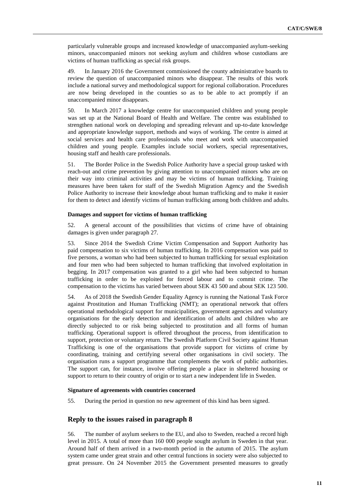particularly vulnerable groups and increased knowledge of unaccompanied asylum-seeking minors, unaccompanied minors not seeking asylum and children whose custodians are victims of human trafficking as special risk groups.

49. In January 2016 the Government commissioned the county administrative boards to review the question of unaccompanied minors who disappear. The results of this work include a national survey and methodological support for regional collaboration. Procedures are now being developed in the counties so as to be able to act promptly if an unaccompanied minor disappears.

50. In March 2017 a knowledge centre for unaccompanied children and young people was set up at the National Board of Health and Welfare. The centre was established to strengthen national work on developing and spreading relevant and up-to-date knowledge and appropriate knowledge support, methods and ways of working. The centre is aimed at social services and health care professionals who meet and work with unaccompanied children and young people. Examples include social workers, special representatives, housing staff and health care professionals.

51. The Border Police in the Swedish Police Authority have a special group tasked with reach-out and crime prevention by giving attention to unaccompanied minors who are on their way into criminal activities and may be victims of human trafficking. Training measures have been taken for staff of the Swedish Migration Agency and the Swedish Police Authority to increase their knowledge about human trafficking and to make it easier for them to detect and identify victims of human trafficking among both children and adults.

### **Damages and support for victims of human trafficking**

52. A general account of the possibilities that victims of crime have of obtaining damages is given under paragraph 27.

53. Since 2014 the Swedish Crime Victim Compensation and Support Authority has paid compensation to six victims of human trafficking. In 2016 compensation was paid to five persons, a woman who had been subjected to human trafficking for sexual exploitation and four men who had been subjected to human trafficking that involved exploitation in begging. In 2017 compensation was granted to a girl who had been subjected to human trafficking in order to be exploited for forced labour and to commit crime. The compensation to the victims has varied between about SEK 43 500 and about SEK 123 500.

54. As of 2018 the Swedish Gender Equality Agency is running the National Task Force against Prostitution and Human Trafficking (NMT); an operational network that offers operational methodological support for municipalities, government agencies and voluntary organisations for the early detection and identification of adults and children who are directly subjected to or risk being subjected to prostitution and all forms of human trafficking. Operational support is offered throughout the process, from identification to support, protection or voluntary return. The Swedish Platform Civil Society against Human Trafficking is one of the organisations that provide support for victims of crime by coordinating, training and certifying several other organisations in civil society. The organisation runs a support programme that complements the work of public authorities. The support can, for instance, involve offering people a place in sheltered housing or support to return to their country of origin or to start a new independent life in Sweden.

### **Signature of agreements with countries concerned**

55. During the period in question no new agreement of this kind has been signed.

# **Reply to the issues raised in paragraph 8**

56. The number of asylum seekers to the EU, and also to Sweden, reached a record high level in 2015. A total of more than 160 000 people sought asylum in Sweden in that year. Around half of them arrived in a two-month period in the autumn of 2015. The asylum system came under great strain and other central functions in society were also subjected to great pressure. On 24 November 2015 the Government presented measures to greatly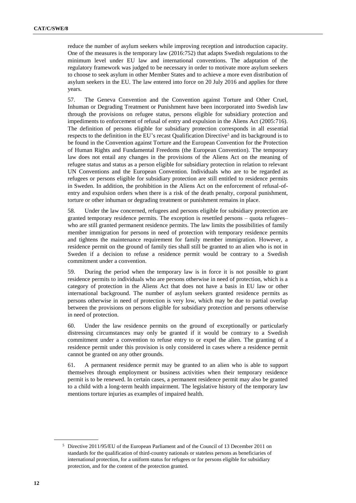reduce the number of asylum seekers while improving reception and introduction capacity. One of the measures is the temporary law (2016:752) that adapts Swedish regulations to the minimum level under EU law and international conventions. The adaptation of the regulatory framework was judged to be necessary in order to motivate more asylum seekers to choose to seek asylum in other Member States and to achieve a more even distribution of asylum seekers in the EU. The law entered into force on 20 July 2016 and applies for three years.

57. The Geneva Convention and the Convention against Torture and Other Cruel, Inhuman or Degrading Treatment or Punishment have been incorporated into Swedish law through the provisions on refugee status, persons eligible for subsidiary protection and impediments to enforcement of refusal of entry and expulsion in the Aliens Act (2005:716). The definition of persons eligible for subsidiary protection corresponds in all essential respects to the definition in the EU's recast Qualification Directive<sup>5</sup> and its background is to be found in the Convention against Torture and the European Convention for the Protection of Human Rights and Fundamental Freedoms (the European Convention). The temporary law does not entail any changes in the provisions of the Aliens Act on the meaning of refugee status and status as a person eligible for subsidiary protection in relation to relevant UN Conventions and the European Convention. Individuals who are to be regarded as refugees or persons eligible for subsidiary protection are still entitled to residence permits in Sweden. In addition, the prohibition in the Aliens Act on the enforcement of refusal-ofentry and expulsion orders when there is a risk of the death penalty, corporal punishment, torture or other inhuman or degrading treatment or punishment remains in place.

58. Under the law concerned, refugees and persons eligible for subsidiary protection are granted temporary residence permits. The exception is resettled persons – quota refugees– who are still granted permanent residence permits. The law limits the possibilities of family member immigration for persons in need of protection with temporary residence permits and tightens the maintenance requirement for family member immigration. However, a residence permit on the ground of family ties shall still be granted to an alien who is not in Sweden if a decision to refuse a residence permit would be contrary to a Swedish commitment under a convention.

59. During the period when the temporary law is in force it is not possible to grant residence permits to individuals who are persons otherwise in need of protection, which is a category of protection in the Aliens Act that does not have a basis in EU law or other international background. The number of asylum seekers granted residence permits as persons otherwise in need of protection is very low, which may be due to partial overlap between the provisions on persons eligible for subsidiary protection and persons otherwise in need of protection.

60. Under the law residence permits on the ground of exceptionally or particularly distressing circumstances may only be granted if it would be contrary to a Swedish commitment under a convention to refuse entry to or expel the alien. The granting of a residence permit under this provision is only considered in cases where a residence permit cannot be granted on any other grounds.

61. A permanent residence permit may be granted to an alien who is able to support themselves through employment or business activities when their temporary residence permit is to be renewed. In certain cases, a permanent residence permit may also be granted to a child with a long-term health impairment. The legislative history of the temporary law mentions torture injuries as examples of impaired health.

<sup>5</sup> Directive 2011/95/EU of the European Parliament and of the Council of 13 December 2011 on standards for the qualification of third-country nationals or stateless persons as beneficiaries of international protection, for a uniform status for refugees or for persons eligible for subsidiary protection, and for the content of the protection granted.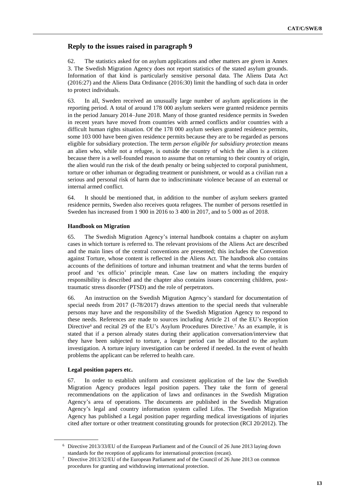62. The statistics asked for on asylum applications and other matters are given in Annex 3. The Swedish Migration Agency does not report statistics of the stated asylum grounds. Information of that kind is particularly sensitive personal data. The Aliens Data Act (2016:27) and the Aliens Data Ordinance (2016:30) limit the handling of such data in order to protect individuals.

63. In all, Sweden received an unusually large number of asylum applications in the reporting period. A total of around 178 000 asylum seekers were granted residence permits in the period January 2014–June 2018. Many of those granted residence permits in Sweden in recent years have moved from countries with armed conflicts and/or countries with a difficult human rights situation. Of the 178 000 asylum seekers granted residence permits, some 103 000 have been given residence permits because they are to be regarded as persons eligible for subsidiary protection. The term *person eligible for subsidiary protection* means an alien who, while not a refugee, is outside the country of which the alien is a citizen because there is a well-founded reason to assume that on returning to their country of origin, the alien would run the risk of the death penalty or being subjected to corporal punishment, torture or other inhuman or degrading treatment or punishment, or would as a civilian run a serious and personal risk of harm due to indiscriminate violence because of an external or internal armed conflict.

64. It should be mentioned that, in addition to the number of asylum seekers granted residence permits, Sweden also receives quota refugees. The number of persons resettled in Sweden has increased from 1 900 in 2016 to 3 400 in 2017, and to 5 000 as of 2018.

### **Handbook on Migration**

65. The Swedish Migration Agency's internal handbook contains a chapter on asylum cases in which torture is referred to. The relevant provisions of the Aliens Act are described and the main lines of the central conventions are presented; this includes the Convention against Torture, whose content is reflected in the Aliens Act. The handbook also contains accounts of the definitions of torture and inhuman treatment and what the terms burden of proof and 'ex officio' principle mean. Case law on matters including the enquiry responsibility is described and the chapter also contains issues concerning children, posttraumatic stress disorder (PTSD) and the role of perpetrators.

66. An instruction on the Swedish Migration Agency's standard for documentation of special needs from 2017 (I-78/2017) draws attention to the special needs that vulnerable persons may have and the responsibility of the Swedish Migration Agency to respond to these needs. References are made to sources including Article 21 of the EU's Reception Directive<sup>6</sup> and recital 29 of the EU's Asylum Procedures Directive.<sup>7</sup> As an example, it is stated that if a person already states during their application conversation/interview that they have been subjected to torture, a longer period can be allocated to the asylum investigation. A torture injury investigation can be ordered if needed. In the event of health problems the applicant can be referred to health care.

### **Legal position papers etc.**

67. In order to establish uniform and consistent application of the law the Swedish Migration Agency produces legal position papers. They take the form of general recommendations on the application of laws and ordinances in the Swedish Migration Agency's area of operations. The documents are published in the Swedish Migration Agency's legal and country information system called Lifos. The Swedish Migration Agency has published a Legal position paper regarding medical investigations of injuries cited after torture or other treatment constituting grounds for protection (RCI 20/2012). The

<sup>6</sup> Directive 2013/33/EU of the European Parliament and of the Council of 26 June 2013 laying down standards for the reception of applicants for international protection (recast).

<sup>7</sup> Directive 2013/32/EU of the European Parliament and of the Council of 26 June 2013 on common procedures for granting and withdrawing international protection.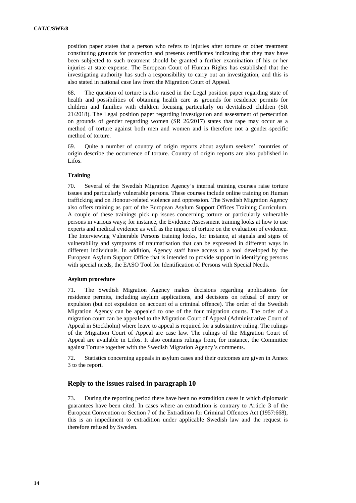position paper states that a person who refers to injuries after torture or other treatment constituting grounds for protection and presents certificates indicating that they may have been subjected to such treatment should be granted a further examination of his or her injuries at state expense. The European Court of Human Rights has established that the investigating authority has such a responsibility to carry out an investigation, and this is also stated in national case law from the Migration Court of Appeal.

68. The question of torture is also raised in the Legal position paper regarding state of health and possibilities of obtaining health care as grounds for residence permits for children and families with children focusing particularly on devitalised children (SR 21/2018). The Legal position paper regarding investigation and assessment of persecution on grounds of gender regarding women (SR 26/2017) states that rape may occur as a method of torture against both men and women and is therefore not a gender-specific method of torture.

69. Quite a number of country of origin reports about asylum seekers' countries of origin describe the occurrence of torture. Country of origin reports are also published in Lifos.

### **Training**

70. Several of the Swedish Migration Agency's internal training courses raise torture issues and particularly vulnerable persons. These courses include online training on Human trafficking and on Honour-related violence and oppression. The Swedish Migration Agency also offers training as part of the European Asylum Support Offices Training Curriculum. A couple of these trainings pick up issues concerning torture or particularly vulnerable persons in various ways; for instance, the Evidence Assessment training looks at how to use experts and medical evidence as well as the impact of torture on the evaluation of evidence. The Interviewing Vulnerable Persons training looks, for instance, at signals and signs of vulnerability and symptoms of traumatisation that can be expressed in different ways in different individuals. In addition, Agency staff have access to a tool developed by the European Asylum Support Office that is intended to provide support in identifying persons with special needs, the EASO Tool for Identification of Persons with Special Needs.

### **Asylum procedure**

71. The Swedish Migration Agency makes decisions regarding applications for residence permits, including asylum applications, and decisions on refusal of entry or expulsion (but not expulsion on account of a criminal offence). The order of the Swedish Migration Agency can be appealed to one of the four migration courts. The order of a migration court can be appealed to the Migration Court of Appeal (Administrative Court of Appeal in Stockholm) where leave to appeal is required for a substantive ruling. The rulings of the Migration Court of Appeal are case law. The rulings of the Migration Court of Appeal are available in Lifos. It also contains rulings from, for instance, the Committee against Torture together with the Swedish Migration Agency's comments.

72. Statistics concerning appeals in asylum cases and their outcomes are given in Annex 3 to the report.

### **Reply to the issues raised in paragraph 10**

73. During the reporting period there have been no extradition cases in which diplomatic guarantees have been cited. In cases where an extradition is contrary to Article 3 of the European Convention or Section 7 of the Extradition for Criminal Offences Act (1957:668), this is an impediment to extradition under applicable Swedish law and the request is therefore refused by Sweden.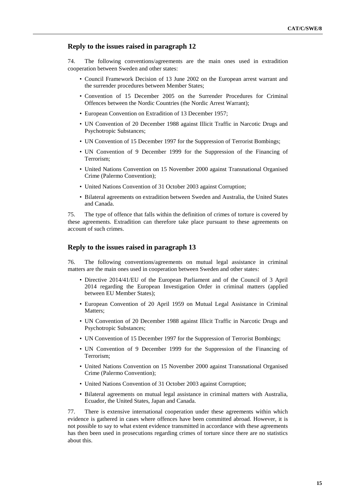74. The following conventions/agreements are the main ones used in extradition cooperation between Sweden and other states:

- Council Framework Decision of 13 June 2002 on the European arrest warrant and the surrender procedures between Member States;
- Convention of 15 December 2005 on the Surrender Procedures for Criminal Offences between the Nordic Countries (the Nordic Arrest Warrant);
- European Convention on Extradition of 13 December 1957;
- UN Convention of 20 December 1988 against Illicit Traffic in Narcotic Drugs and Psychotropic Substances;
- UN Convention of 15 December 1997 for the Suppression of Terrorist Bombings;
- UN Convention of 9 December 1999 for the Suppression of the Financing of Terrorism;
- United Nations Convention on 15 November 2000 against Transnational Organised Crime (Palermo Convention);
- United Nations Convention of 31 October 2003 against Corruption;
- Bilateral agreements on extradition between Sweden and Australia, the United States and Canada.

75. The type of offence that falls within the definition of crimes of torture is covered by these agreements. Extradition can therefore take place pursuant to these agreements on account of such crimes.

### **Reply to the issues raised in paragraph 13**

76. The following conventions/agreements on mutual legal assistance in criminal matters are the main ones used in cooperation between Sweden and other states:

- Directive 2014/41/EU of the European Parliament and of the Council of 3 April 2014 regarding the European Investigation Order in criminal matters (applied between EU Member States);
- European Convention of 20 April 1959 on Mutual Legal Assistance in Criminal Matters;
- UN Convention of 20 December 1988 against Illicit Traffic in Narcotic Drugs and Psychotropic Substances;
- UN Convention of 15 December 1997 for the Suppression of Terrorist Bombings;
- UN Convention of 9 December 1999 for the Suppression of the Financing of Terrorism;
- United Nations Convention on 15 November 2000 against Transnational Organised Crime (Palermo Convention);
- United Nations Convention of 31 October 2003 against Corruption;
- Bilateral agreements on mutual legal assistance in criminal matters with Australia, Ecuador, the United States, Japan and Canada.

77. There is extensive international cooperation under these agreements within which evidence is gathered in cases where offences have been committed abroad. However, it is not possible to say to what extent evidence transmitted in accordance with these agreements has then been used in prosecutions regarding crimes of torture since there are no statistics about this.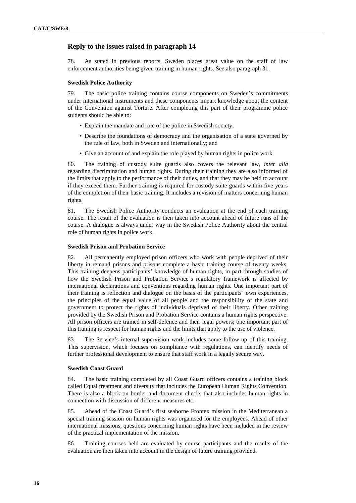78. As stated in previous reports, Sweden places great value on the staff of law enforcement authorities being given training in human rights. See also paragraph 31.

### **Swedish Police Authority**

79. The basic police training contains course components on Sweden's commitments under international instruments and these components impart knowledge about the content of the Convention against Torture. After completing this part of their programme police students should be able to:

- Explain the mandate and role of the police in Swedish society;
- Describe the foundations of democracy and the organisation of a state governed by the rule of law, both in Sweden and internationally; and
- Give an account of and explain the role played by human rights in police work.

80. The training of custody suite guards also covers the relevant law, *inter alia* regarding discrimination and human rights. During their training they are also informed of the limits that apply to the performance of their duties, and that they may be held to account if they exceed them. Further training is required for custody suite guards within five years of the completion of their basic training. It includes a revision of matters concerning human rights.

81. The Swedish Police Authority conducts an evaluation at the end of each training course. The result of the evaluation is then taken into account ahead of future runs of the course. A dialogue is always under way in the Swedish Police Authority about the central role of human rights in police work.

### **Swedish Prison and Probation Service**

82. All permanently employed prison officers who work with people deprived of their liberty in remand prisons and prisons complete a basic training course of twenty weeks. This training deepens participants' knowledge of human rights, in part through studies of how the Swedish Prison and Probation Service's regulatory framework is affected by international declarations and conventions regarding human rights. One important part of their training is reflection and dialogue on the basis of the participants' own experiences, the principles of the equal value of all people and the responsibility of the state and government to protect the rights of individuals deprived of their liberty. Other training provided by the Swedish Prison and Probation Service contains a human rights perspective. All prison officers are trained in self-defence and their legal powers; one important part of this training is respect for human rights and the limits that apply to the use of violence.

83. The Service's internal supervision work includes some follow-up of this training. This supervision, which focuses on compliance with regulations, can identify needs of further professional development to ensure that staff work in a legally secure way.

# **Swedish Coast Guard**

84. The basic training completed by all Coast Guard officers contains a training block called Equal treatment and diversity that includes the European Human Rights Convention. There is also a block on border and document checks that also includes human rights in connection with discussion of different measures etc.

85. Ahead of the Coast Guard's first seaborne Frontex mission in the Mediterranean a special training session on human rights was organised for the employees. Ahead of other international missions, questions concerning human rights have been included in the review of the practical implementation of the mission.

86. Training courses held are evaluated by course participants and the results of the evaluation are then taken into account in the design of future training provided.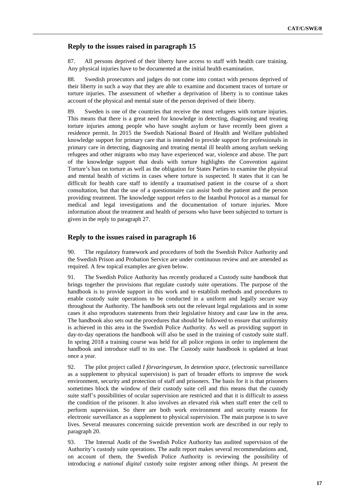87. All persons deprived of their liberty have access to staff with health care training. Any physical injuries have to be documented at the initial health examination.

88. Swedish prosecutors and judges do not come into contact with persons deprived of their liberty in such a way that they are able to examine and document traces of torture or torture injuries. The assessment of whether a deprivation of liberty is to continue takes account of the physical and mental state of the person deprived of their liberty.

89. Sweden is one of the countries that receive the most refugees with torture injuries. This means that there is a great need for knowledge in detecting, diagnosing and treating torture injuries among people who have sought asylum or have recently been given a residence permit. In 2015 the Swedish National Board of Health and Welfare published knowledge support for primary care that is intended to provide support for professionals in primary care in detecting, diagnosing and treating mental ill health among asylum seeking refugees and other migrants who may have experienced war, violence and abuse. The part of the knowledge support that deals with torture highlights the Convention against Torture's ban on torture as well as the obligation for States Parties to examine the physical and mental health of victims in cases where torture is suspected. It states that it can be difficult for health care staff to identify a traumatised patient in the course of a short consultation, but that the use of a questionnaire can assist both the patient and the person providing treatment. The knowledge support refers to the Istanbul Protocol as a manual for medical and legal investigations and the documentation of torture injuries. More information about the treatment and health of persons who have been subjected to torture is given in the reply to paragraph 27.

# **Reply to the issues raised in paragraph 16**

90. The regulatory framework and procedures of both the Swedish Police Authority and the Swedish Prison and Probation Service are under continuous review and are amended as required. A few topical examples are given below.

91. The Swedish Police Authority has recently produced a Custody suite handbook that brings together the provisions that regulate custody suite operations. The purpose of the handbook is to provide support in this work and to establish methods and procedures to enable custody suite operations to be conducted in a uniform and legally secure way throughout the Authority. The handbook sets out the relevant legal regulations and in some cases it also reproduces statements from their legislative history and case law in the area. The handbook also sets out the procedures that should be followed to ensure that uniformity is achieved in this area in the Swedish Police Authority. As well as providing support in day-to-day operations the handbook will also be used in the training of custody suite staff. In spring 2018 a training course was held for all police regions in order to implement the handbook and introduce staff to its use. The Custody suite handbook is updated at least once a year.

92. The pilot project called *I förvaringsrum, In detention space*, (electronic surveillance as a supplement to physical supervision) is part of broader efforts to improve the work environment, security and protection of staff and prisoners. The basis for it is that prisoners sometimes block the window of their custody suite cell and this means that the custody suite staff's possibilities of ocular supervision are restricted and that it is difficult to assess the condition of the prisoner. It also involves an elevated risk when staff enter the cell to perform supervision. So there are both work environment and security reasons for electronic surveillance as a supplement to physical supervision. The main purpose is to save lives. Several measures concerning suicide prevention work are described in our reply to paragraph 20.

93. The Internal Audit of the Swedish Police Authority has audited supervision of the Authority's custody suite operations. The audit report makes several recommendations and, on account of them, the Swedish Police Authority is reviewing the possibility of introducing *a national digital* custody suite register among other things. At present the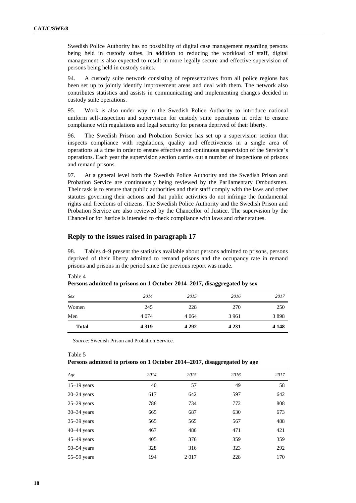Swedish Police Authority has no possibility of digital case management regarding persons being held in custody suites. In addition to reducing the workload of staff, digital management is also expected to result in more legally secure and effective supervision of persons being held in custody suites.

94. A custody suite network consisting of representatives from all police regions has been set up to jointly identify improvement areas and deal with them. The network also contributes statistics and assists in communicating and implementing changes decided in custody suite operations.

95. Work is also under way in the Swedish Police Authority to introduce national uniform self-inspection and supervision for custody suite operations in order to ensure compliance with regulations and legal security for persons deprived of their liberty.

96. The Swedish Prison and Probation Service has set up a supervision section that inspects compliance with regulations, quality and effectiveness in a single area of operations at a time in order to ensure effective and continuous supervision of the Service's operations. Each year the supervision section carries out a number of inspections of prisons and remand prisons.

97. At a general level both the Swedish Police Authority and the Swedish Prison and Probation Service are continuously being reviewed by the Parliamentary Ombudsmen. Their task is to ensure that public authorities and their staff comply with the laws and other statutes governing their actions and that public activities do not infringe the fundamental rights and freedoms of citizens. The Swedish Police Authority and the Swedish Prison and Probation Service are also reviewed by the Chancellor of Justice. The supervision by the Chancellor for Justice is intended to check compliance with laws and other statues.

# **Reply to the issues raised in paragraph 17**

98. Tables 4–9 present the statistics available about persons admitted to prisons, persons deprived of their liberty admitted to remand prisons and the occupancy rate in remand prisons and prisons in the period since the previous report was made.

| Men<br>4 0 7 4<br>4 0 6 4<br>3 9 6 1 | 3898 |
|--------------------------------------|------|
|                                      |      |
| 228<br>245<br>270<br>Women           | 250  |
| 2014<br>2015<br>2016<br>Sex          | 2017 |

**Persons admitted to prisons on 1 October 2014–2017, disaggregated by sex**

*Source*: Swedish Prison and Probation Service.

Table 5

Table 4

|  |  |  | Persons admitted to prisons on 1 October 2014–2017, disaggregated by age |
|--|--|--|--------------------------------------------------------------------------|
|--|--|--|--------------------------------------------------------------------------|

| Age             | 2014 | 2015 | 2016 | 2017 |
|-----------------|------|------|------|------|
| $15-19$ years   | 40   | 57   | 49   | 58   |
| $20 - 24$ years | 617  | 642  | 597  | 642  |
| $25-29$ years   | 788  | 734  | 772  | 808  |
| $30 - 34$ years | 665  | 687  | 630  | 673  |
| $35 - 39$ years | 565  | 565  | 567  | 488  |
| $40-44$ years   | 467  | 486  | 471  | 421  |
| $45 - 49$ years | 405  | 376  | 359  | 359  |
| $50 - 54$ years | 328  | 316  | 323  | 292  |
| $55 - 59$ years | 194  | 2017 | 228  | 170  |
|                 |      |      |      |      |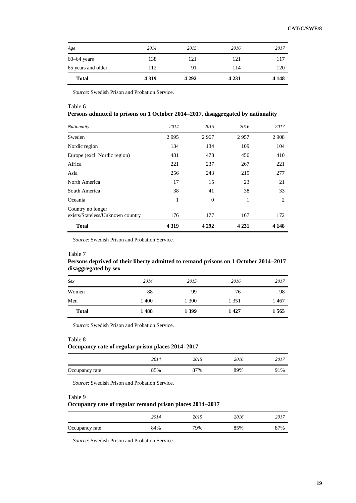| <b>Total</b>       | 4 3 1 9 | 4 2 9 2 | 4 2 3 1 | 4 1 4 8 |
|--------------------|---------|---------|---------|---------|
| 65 years and older | 112     | 91      | 114     | 120     |
| $60-64$ years      | 138     | 121     | 121     | 117     |
| Age                | 2014    | 2015    | 2016    | 2017    |

*Source*: Swedish Prison and Probation Service.

Table 6

### **Persons admitted to prisons on 1 October 2014–2017, disaggregated by nationality**

| Nationality                                           | 2014    | 2015           | 2016    | 2017    |
|-------------------------------------------------------|---------|----------------|---------|---------|
| Sweden                                                | 2995    | 2967           | 2957    | 2 9 0 8 |
| Nordic region                                         | 134     | 134            | 109     | 104     |
| Europe (excl. Nordic region)                          | 481     | 478            | 450     | 410     |
| Africa                                                | 221     | 237            | 267     | 221     |
| Asia                                                  | 256     | 243            | 219     | 277     |
| North America                                         | 17      | 15             | 23      | 21      |
| South America                                         | 38      | 41             | 38      | 33      |
| Oceania                                               | 1       | $\overline{0}$ | 1       | 2       |
| Country no longer<br>exists/Stateless/Unknown country | 176     | 177            | 167     | 172     |
| <b>Total</b>                                          | 4 3 1 9 | 4 2 9 2        | 4 2 3 1 | 4 1 4 8 |

*Source*: Swedish Prison and Probation Service.

# Table 7

# **Persons deprived of their liberty admitted to remand prisons on 1 October 2014–2017 disaggregated by sex**

| Sex          | 2014  | 2015    | 2016  | 2017    |
|--------------|-------|---------|-------|---------|
| Women        | 88    | 99      | 76    | 98      |
| Men          | 1 400 | 1 300   | 1 351 | 1467    |
| <b>Total</b> | 1488  | 1 3 9 9 | 1427  | 1 5 6 5 |

*Source*: Swedish Prison and Probation Service.

# Table 8

### **Occupancy rate of regular prison places 2014–2017**

|                | 2014 | 2015 | 2016 | 2017 |
|----------------|------|------|------|------|
| Occupancy rate | 85%  | 87%  | 89%  | 91%  |

*Source*: Swedish Prison and Probation Service.

#### Table 9

### **Occupancy rate of regular remand prison places 2014–2017**

|                | 2014 | 2015 | 2016 | 2017 |
|----------------|------|------|------|------|
| Occupancy rate | 84%  | 79%  | 85%  | 87%  |

*Source*: Swedish Prison and Probation Service.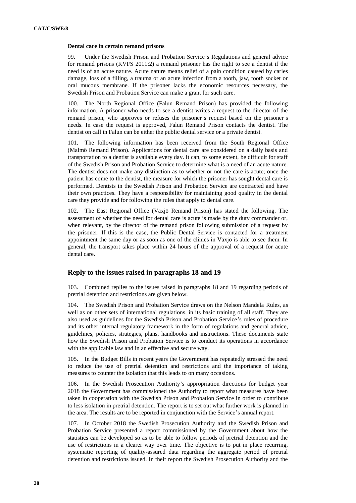#### **Dental care in certain remand prisons**

99. Under the Swedish Prison and Probation Service's Regulations and general advice for remand prisons (KVFS 2011:2) a remand prisoner has the right to see a dentist if the need is of an acute nature. Acute nature means relief of a pain condition caused by caries damage, loss of a filling, a trauma or an acute infection from a tooth, jaw, tooth socket or oral mucous membrane. If the prisoner lacks the economic resources necessary, the Swedish Prison and Probation Service can make a grant for such care.

100. The North Regional Office (Falun Remand Prison) has provided the following information. A prisoner who needs to see a dentist writes a request to the director of the remand prison, who approves or refuses the prisoner's request based on the prisoner's needs. In case the request is approved, Falun Remand Prison contacts the dentist. The dentist on call in Falun can be either the public dental service or a private dentist.

101. The following information has been received from the South Regional Office (Malmö Remand Prison). Applications for dental care are considered on a daily basis and transportation to a dentist is available every day. It can, to some extent, be difficult for staff of the Swedish Prison and Probation Service to determine what is a need of an acute nature. The dentist does not make any distinction as to whether or not the care is acute; once the patient has come to the dentist, the measure for which the prisoner has sought dental care is performed. Dentists in the Swedish Prison and Probation Service are contracted and have their own practices. They have a responsibility for maintaining good quality in the dental care they provide and for following the rules that apply to dental care.

102. The East Regional Office (Växjö Remand Prison) has stated the following. The assessment of whether the need for dental care is acute is made by the duty commander or, when relevant, by the director of the remand prison following submission of a request by the prisoner. If this is the case, the Public Dental Service is contacted for a treatment appointment the same day or as soon as one of the clinics in Växjö is able to see them. In general, the transport takes place within 24 hours of the approval of a request for acute dental care.

# **Reply to the issues raised in paragraphs 18 and 19**

103. Combined replies to the issues raised in paragraphs 18 and 19 regarding periods of pretrial detention and restrictions are given below.

104. The Swedish Prison and Probation Service draws on the Nelson Mandela Rules, as well as on other sets of international regulations, in its basic training of all staff. They are also used as guidelines for the Swedish Prison and Probation Service's rules of procedure and its other internal regulatory framework in the form of regulations and general advice, guidelines, policies, strategies, plans, handbooks and instructions. These documents state how the Swedish Prison and Probation Service is to conduct its operations in accordance with the applicable law and in an effective and secure way.

105. In the Budget Bills in recent years the Government has repeatedly stressed the need to reduce the use of pretrial detention and restrictions and the importance of taking measures to counter the isolation that this leads to on many occasions.

106. In the Swedish Prosecution Authority's appropriation directions for budget year 2018 the Government has commissioned the Authority to report what measures have been taken in cooperation with the Swedish Prison and Probation Service in order to contribute to less isolation in pretrial detention. The report is to set out what further work is planned in the area. The results are to be reported in conjunction with the Service's annual report.

107. In October 2018 the Swedish Prosecution Authority and the Swedish Prison and Probation Service presented a report commissioned by the Government about how the statistics can be developed so as to be able to follow periods of pretrial detention and the use of restrictions in a clearer way over time. The objective is to put in place recurring, systematic reporting of quality-assured data regarding the aggregate period of pretrial detention and restrictions issued. In their report the Swedish Prosecution Authority and the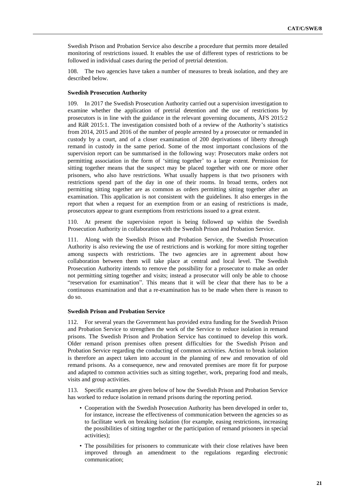Swedish Prison and Probation Service also describe a procedure that permits more detailed monitoring of restrictions issued. It enables the use of different types of restrictions to be followed in individual cases during the period of pretrial detention.

108. The two agencies have taken a number of measures to break isolation, and they are described below.

### **Swedish Prosecution Authority**

109. In 2017 the Swedish Prosecution Authority carried out a supervision investigation to examine whether the application of pretrial detention and the use of restrictions by prosecutors is in line with the guidance in the relevant governing documents, ÅFS 2015:2 and RåR 2015:1. The investigation consisted both of a review of the Authority's statistics from 2014, 2015 and 2016 of the number of people arrested by a prosecutor or remanded in custody by a court, and of a closer examination of 200 deprivations of liberty through remand in custody in the same period. Some of the most important conclusions of the supervision report can be summarised in the following way: Prosecutors make orders not permitting association in the form of 'sitting together' to a large extent. Permission for sitting together means that the suspect may be placed together with one or more other prisoners, who also have restrictions. What usually happens is that two prisoners with restrictions spend part of the day in one of their rooms. In broad terms, orders not permitting sitting together are as common as orders permitting sitting together after an examination. This application is not consistent with the guidelines. It also emerges in the report that when a request for an exemption from or an easing of restrictions is made, prosecutors appear to grant exemptions from restrictions issued to a great extent.

110. At present the supervision report is being followed up within the Swedish Prosecution Authority in collaboration with the Swedish Prison and Probation Service.

111. Along with the Swedish Prison and Probation Service, the Swedish Prosecution Authority is also reviewing the use of restrictions and is working for more sitting together among suspects with restrictions. The two agencies are in agreement about how collaboration between them will take place at central and local level. The Swedish Prosecution Authority intends to remove the possibility for a prosecutor to make an order not permitting sitting together and visits; instead a prosecutor will only be able to choose "reservation for examination". This means that it will be clear that there has to be a continuous examination and that a re-examination has to be made when there is reason to do so.

#### **Swedish Prison and Probation Service**

112. For several years the Government has provided extra funding for the Swedish Prison and Probation Service to strengthen the work of the Service to reduce isolation in remand prisons. The Swedish Prison and Probation Service has continued to develop this work. Older remand prison premises often present difficulties for the Swedish Prison and Probation Service regarding the conducting of common activities. Action to break isolation is therefore an aspect taken into account in the planning of new and renovation of old remand prisons. As a consequence, new and renovated premises are more fit for purpose and adapted to common activities such as sitting together, work, preparing food and meals, visits and group activities.

113. Specific examples are given below of how the Swedish Prison and Probation Service has worked to reduce isolation in remand prisons during the reporting period.

- Cooperation with the Swedish Prosecution Authority has been developed in order to, for instance, increase the effectiveness of communication between the agencies so as to facilitate work on breaking isolation (for example, easing restrictions, increasing the possibilities of sitting together or the participation of remand prisoners in special activities);
- The possibilities for prisoners to communicate with their close relatives have been improved through an amendment to the regulations regarding electronic communication;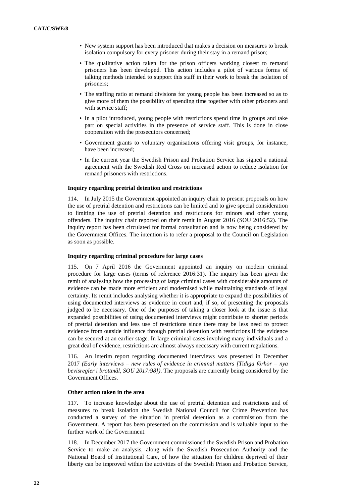- New system support has been introduced that makes a decision on measures to break isolation compulsory for every prisoner during their stay in a remand prison;
- The qualitative action taken for the prison officers working closest to remand prisoners has been developed. This action includes a pilot of various forms of talking methods intended to support this staff in their work to break the isolation of prisoners;
- The staffing ratio at remand divisions for young people has been increased so as to give more of them the possibility of spending time together with other prisoners and with service staff;
- In a pilot introduced, young people with restrictions spend time in groups and take part on special activities in the presence of service staff. This is done in close cooperation with the prosecutors concerned;
- Government grants to voluntary organisations offering visit groups, for instance, have been increased;
- In the current year the Swedish Prison and Probation Service has signed a national agreement with the Swedish Red Cross on increased action to reduce isolation for remand prisoners with restrictions.

#### **Inquiry regarding pretrial detention and restrictions**

114. In July 2015 the Government appointed an inquiry chair to present proposals on how the use of pretrial detention and restrictions can be limited and to give special consideration to limiting the use of pretrial detention and restrictions for minors and other young offenders. The inquiry chair reported on their remit in August 2016 (SOU 2016:52). The inquiry report has been circulated for formal consultation and is now being considered by the Government Offices. The intention is to refer a proposal to the Council on Legislation as soon as possible.

#### **Inquiry regarding criminal procedure for large cases**

115. On 7 April 2016 the Government appointed an inquiry on modern criminal procedure for large cases (terms of reference 2016:31). The inquiry has been given the remit of analysing how the processing of large criminal cases with considerable amounts of evidence can be made more efficient and modernised while maintaining standards of legal certainty. Its remit includes analysing whether it is appropriate to expand the possibilities of using documented interviews as evidence in court and, if so, of presenting the proposals judged to be necessary. One of the purposes of taking a closer look at the issue is that expanded possibilities of using documented interviews might contribute to shorter periods of pretrial detention and less use of restrictions since there may be less need to protect evidence from outside influence through pretrial detention with restrictions if the evidence can be secured at an earlier stage. In large criminal cases involving many individuals and a great deal of evidence, restrictions are almost always necessary with current regulations.

116. An interim report regarding documented interviews was presented in December 2017 *(Early interviews – new rules of evidence in criminal matters [Tidiga förhör – nya bevisregler i brottmål, SOU 2017:98])*. The proposals are currently being considered by the Government Offices.

#### **Other action taken in the area**

117. To increase knowledge about the use of pretrial detention and restrictions and of measures to break isolation the Swedish National Council for Crime Prevention has conducted a survey of the situation in pretrial detention as a commission from the Government. A report has been presented on the commission and is valuable input to the further work of the Government.

118. In December 2017 the Government commissioned the Swedish Prison and Probation Service to make an analysis, along with the Swedish Prosecution Authority and the National Board of Institutional Care, of how the situation for children deprived of their liberty can be improved within the activities of the Swedish Prison and Probation Service,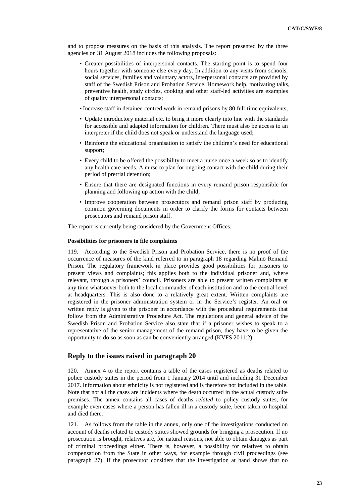and to propose measures on the basis of this analysis. The report presented by the three agencies on 31 August 2018 includes the following proposals:

- Greater possibilities of interpersonal contacts. The starting point is to spend four hours together with someone else every day. In addition to any visits from schools, social services, families and voluntary actors, interpersonal contacts are provided by staff of the Swedish Prison and Probation Service. Homework help, motivating talks, preventive health, study circles, cooking and other staff-led activities are examples of quality interpersonal contacts;
- Increase staff in detainee-centred work in remand prisons by 80 full-time equivalents;
- Update introductory material etc. to bring it more clearly into line with the standards for accessible and adapted information for children. There must also be access to an interpreter if the child does not speak or understand the language used;
- Reinforce the educational organisation to satisfy the children's need for educational support;
- Every child to be offered the possibility to meet a nurse once a week so as to identify any health care needs. A nurse to plan for ongoing contact with the child during their period of pretrial detention;
- Ensure that there are designated functions in every remand prison responsible for planning and following up action with the child;
- Improve cooperation between prosecutors and remand prison staff by producing common governing documents in order to clarify the forms for contacts between prosecutors and remand prison staff.

The report is currently being considered by the Government Offices.

#### **Possibilities for prisoners to file complaints**

119. According to the Swedish Prison and Probation Service, there is no proof of the occurrence of measures of the kind referred to in paragraph 18 regarding Malmö Remand Prison. The regulatory framework in place provides good possibilities for prisoners to present views and complaints; this applies both to the individual prisoner and, where relevant, through a prisoners' council. Prisoners are able to present written complaints at any time whatsoever both to the local commander of each institution and to the central level at headquarters. This is also done to a relatively great extent. Written complaints are registered in the prisoner administration system or in the Service's register. An oral or written reply is given to the prisoner in accordance with the procedural requirements that follow from the Administrative Procedure Act. The regulations and general advice of the Swedish Prison and Probation Service also state that if a prisoner wishes to speak to a representative of the senior management of the remand prison, they have to be given the opportunity to do so as soon as can be conveniently arranged (KVFS 2011:2).

### **Reply to the issues raised in paragraph 20**

120. Annex 4 to the report contains a table of the cases registered as deaths related to police custody suites in the period from 1 January 2014 until and including 31 December 2017. Information about ethnicity is not registered and is therefore not included in the table. Note that not all the cases are incidents where the death occurred in the actual custody suite premises. The annex contains all cases of deaths *related* to policy custody suites, for example even cases where a person has fallen ill in a custody suite, been taken to hospital and died there.

121. As follows from the table in the annex, only one of the investigations conducted on account of deaths related to custody suites showed grounds for bringing a prosecution. If no prosecution is brought, relatives are, for natural reasons, not able to obtain damages as part of criminal proceedings either. There is, however, a possibility for relatives to obtain compensation from the State in other ways, for example through civil proceedings (see paragraph 27). If the prosecutor considers that the investigation at hand shows that no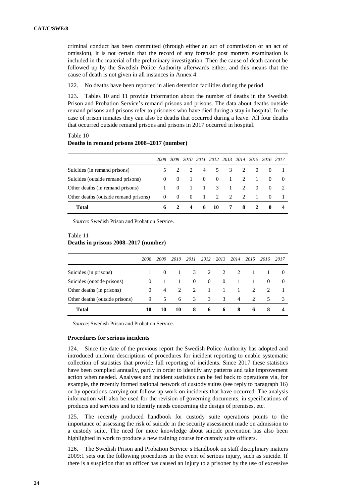criminal conduct has been committed (through either an act of commission or an act of omission), it is not certain that the record of any forensic post mortem examination is included in the material of the preliminary investigation. Then the cause of death cannot be followed up by the Swedish Police Authority afterwards either, and this means that the cause of death is not given in all instances in Annex 4.

122. No deaths have been reported in alien detention facilities during the period.

123. Tables 10 and 11 provide information about the number of deaths in the Swedish Prison and Probation Service's remand prisons and prisons. The data about deaths outside remand prisons and prisons refer to prisoners who have died during a stay in hospital. In the case of prison inmates they can also be deaths that occurred during a leave. All four deaths that occurred outside remand prisons and prisons in 2017 occurred in hospital.

# Table 10 **Deaths in remand prisons 2008–2017 (number)**

|                                       |          |                |                         |                | 2008 2009 2010 2011 2012 2013 2014 2015 2016 2017 |                                         |     |                |                |  |
|---------------------------------------|----------|----------------|-------------------------|----------------|---------------------------------------------------|-----------------------------------------|-----|----------------|----------------|--|
| Suicides (in remand prisons)          | 5.       | 2              | $\overline{2}$          |                | 4 5                                               |                                         | 3 2 | $\theta$       |                |  |
| Suicides (outside remand prisons)     | $\Omega$ | $\theta$       | $\overline{1}$          | $\overline{0}$ | $\overline{0}$                                    | -1                                      | 2   |                |                |  |
| Other deaths (in remand prisons)      |          | $\overline{0}$ | $\mathbf{1}$            | $\mathbf{1}$   | $\overline{\mathbf{3}}$                           | $\begin{array}{ccc} \hline \end{array}$ | 2   | $\theta$       | $\Omega$       |  |
| Other deaths (outside remand prisons) | $\theta$ | $\sim$ 0       | $\overline{0}$          |                | 1 2 2 2                                           |                                         |     | $\mathbf{1}$   | $\overline{0}$ |  |
| <b>Total</b>                          | 6        |                | $\overline{\mathbf{4}}$ |                | 6 10                                              |                                         | 7 8 | $\overline{2}$ | $\mathbf{0}$   |  |

*Source*: Swedish Prison and Probation Service.

# Table 11

### **Deaths in prisons 2008–2017 (number)**

|                                | 2008     | 2009     | 2010                        | 2011           | 2012     | 2013     | 2014           | 2015          | 2016          | 2017     |
|--------------------------------|----------|----------|-----------------------------|----------------|----------|----------|----------------|---------------|---------------|----------|
| Suicides (in prisons)          |          | $\Omega$ |                             | 3              | 2        | 2        | 2              |               |               |          |
| Suicides (outside prisons)     | $\Omega$ |          |                             | $\theta$       | $\theta$ | $\theta$ |                |               | $\Omega$      | $\theta$ |
| Other deaths (in prisons)      | $\Omega$ | 4        | $\mathcal{D}_{\mathcal{L}}$ | 2              |          |          |                | $\mathcal{L}$ | $\mathcal{L}$ |          |
| Other deaths (outside prisons) | 9        | .5       | 6                           | $\overline{3}$ | -3       | 3        | $\overline{4}$ | $\mathcal{L}$ | 5             |          |
| <b>Total</b>                   | 10       | 10       | 10                          | 8              | 6        | 6        | -8             | 6             | 8             | 4        |

*Source*: Swedish Prison and Probation Service.

### **Procedures for serious incidents**

124. Since the date of the previous report the Swedish Police Authority has adopted and introduced uniform descriptions of procedures for incident reporting to enable systematic collection of statistics that provide full reporting of incidents. Since 2017 these statistics have been complied annually, partly in order to identify any patterns and take improvement action when needed. Analyses and incident statistics can be fed back to operations via, for example, the recently formed national network of custody suites (see reply to paragraph 16) or by operations carrying out follow-up work on incidents that have occurred. The analysis information will also be used for the revision of governing documents, in specifications of products and services and to identify needs concerning the design of premises, etc.

125. The recently produced handbook for custody suite operations points to the importance of assessing the risk of suicide in the security assessment made on admission to a custody suite. The need for more knowledge about suicide prevention has also been highlighted in work to produce a new training course for custody suite officers.

126. The Swedish Prison and Probation Service's Handbook on staff disciplinary matters 2009:1 sets out the following procedures in the event of serious injury, such as suicide. If there is a suspicion that an officer has caused an injury to a prisoner by the use of excessive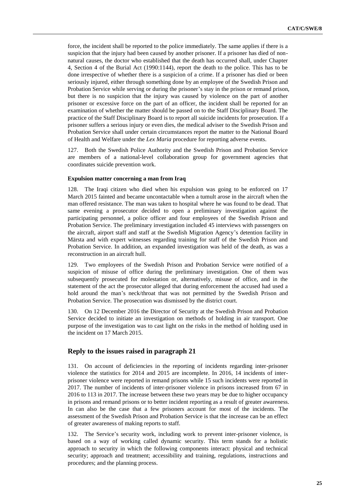force, the incident shall be reported to the police immediately. The same applies if there is a suspicion that the injury had been caused by another prisoner. If a prisoner has died of nonnatural causes, the doctor who established that the death has occurred shall, under Chapter 4, Section 4 of the Burial Act (1990:1144), report the death to the police. This has to be done irrespective of whether there is a suspicion of a crime. If a prisoner has died or been seriously injured, either through something done by an employee of the Swedish Prison and Probation Service while serving or during the prisoner's stay in the prison or remand prison, but there is no suspicion that the injury was caused by violence on the part of another prisoner or excessive force on the part of an officer, the incident shall be reported for an examination of whether the matter should be passed on to the Staff Disciplinary Board. The practice of the Staff Disciplinary Board is to report all suicide incidents for prosecution. If a prisoner suffers a serious injury or even dies, the medical adviser to the Swedish Prison and Probation Service shall under certain circumstances report the matter to the National Board of Health and Welfare under the *Lex Maria* procedure for reporting adverse events.

127. Both the Swedish Police Authority and the Swedish Prison and Probation Service are members of a national-level collaboration group for government agencies that coordinates suicide prevention work.

### **Expulsion matter concerning a man from Iraq**

128. The Iraqi citizen who died when his expulsion was going to be enforced on 17 March 2015 fainted and became uncontactable when a tumult arose in the aircraft when the man offered resistance. The man was taken to hospital where he was found to be dead. That same evening a prosecutor decided to open a preliminary investigation against the participating personnel, a police officer and four employees of the Swedish Prison and Probation Service. The preliminary investigation included 45 interviews with passengers on the aircraft, airport staff and staff at the Swedish Migration Agency's detention facility in Märsta and with expert witnesses regarding training for staff of the Swedish Prison and Probation Service. In addition, an expanded investigation was held of the death, as was a reconstruction in an aircraft hull.

129. Two employees of the Swedish Prison and Probation Service were notified of a suspicion of misuse of office during the preliminary investigation. One of them was subsequently prosecuted for molestation or, alternatively, misuse of office, and in the statement of the act the prosecutor alleged that during enforcement the accused had used a hold around the man's neck/throat that was not permitted by the Swedish Prison and Probation Service. The prosecution was dismissed by the district court.

130. On 12 December 2016 the Director of Security at the Swedish Prison and Probation Service decided to initiate an investigation on methods of holding in air transport. One purpose of the investigation was to cast light on the risks in the method of holding used in the incident on 17 March 2015.

### **Reply to the issues raised in paragraph 21**

131. On account of deficiencies in the reporting of incidents regarding inter-prisoner violence the statistics for 2014 and 2015 are incomplete. In 2016, 14 incidents of interprisoner violence were reported in remand prisons while 15 such incidents were reported in 2017. The number of incidents of inter-prisoner violence in prisons increased from 67 in 2016 to 113 in 2017. The increase between these two years may be due to higher occupancy in prisons and remand prisons or to better incident reporting as a result of greater awareness. In can also be the case that a few prisoners account for most of the incidents. The assessment of the Swedish Prison and Probation Service is that the increase can be an effect of greater awareness of making reports to staff.

132. The Service's security work, including work to prevent inter-prisoner violence, is based on a way of working called dynamic security. This term stands for a holistic approach to security in which the following components interact: physical and technical security; approach and treatment; accessibility and training, regulations, instructions and procedures; and the planning process.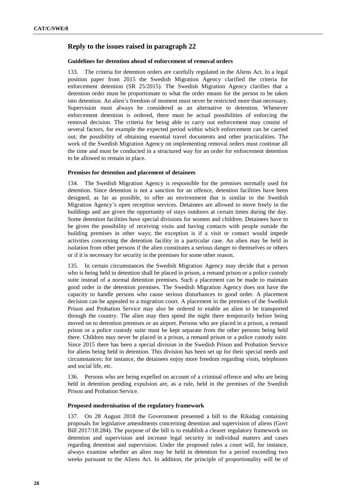#### **Guidelines for detention ahead of enforcement of removal orders**

133. The criteria for detention orders are carefully regulated in the Aliens Act. In a legal position paper from 2015 the Swedish Migration Agency clarified the criteria for enforcement detention (SR 25/2015). The Swedish Migration Agency clarifies that a detention order must be proportionate to what the order means for the person to be taken into detention. An alien's freedom of moment must never be restricted more than necessary. Supervision must always be considered as an alternative to detention. Whenever enforcement detention is ordered, there must be actual possibilities of enforcing the removal decision. The criteria for being able to carry out enforcement may consist of several factors, for example the expected period within which enforcement can be carried out; the possibility of obtaining essential travel documents and other practicalities. The work of the Swedish Migration Agency on implementing removal orders must continue all the time and must be conducted in a structured way for an order for enforcement detention to be allowed to remain in place.

#### **Premises for detention and placement of detainees**

134. The Swedish Migration Agency is responsible for the premises normally used for detention. Since detention is not a sanction for an offence, detention facilities have been designed, as far as possible, to offer an environment that is similar to the Swedish Migration Agency's open reception services. Detainees are allowed to move freely in the buildings and are given the opportunity of stays outdoors at certain times during the day. Some detention facilities have special divisions for women and children. Detainees have to be given the possibility of receiving visits and having contacts with people outside the building premises in other ways; the exception is if a visit or contact would impede activities concerning the detention facility in a particular case. An alien may be held in isolation from other persons if the alien constitutes a serious danger to themselves or others or if it is necessary for security in the premises for some other reason.

135. In certain circumstances the Swedish Migration Agency may decide that a person who is being held in detention shall be placed in prison, a remand prison or a police custody suite instead of a normal detention premises. Such a placement can be made to maintain good order in the detention premises. The Swedish Migration Agency does not have the capacity to handle persons who cause serious disturbances to good order. A placement decision can be appealed to a migration court. A placement in the premises of the Swedish Prison and Probation Service may also be ordered to enable an alien to be transported through the country. The alien may then spend the night there temporarily before being moved on to detention premises or an airport. Persons who are placed in a prison, a remand prison or a police custody suite must be kept separate from the other persons being held there. Children may never be placed in a prison, a remand prison or a police custody suite. Since 2015 there has been a special division in the Swedish Prison and Probation Service for aliens being held in detention. This division has been set up for their special needs and circumstances; for instance, the detainees enjoy more freedom regarding visits, telephones and social life, etc.

136. Persons who are being expelled on account of a criminal offence and who are being held in detention pending expulsion are, as a rule, held in the premises of the Swedish Prison and Probation Service.

### **Proposed modernisation of the regulatory framework**

137. On 28 August 2018 the Government presented a bill to the Riksdag containing proposals for legislative amendments concerning detention and supervision of aliens (Govt Bill 2017/18:284). The purpose of the bill is to establish a clearer regulatory framework on detention and supervision and increase legal security in individual matters and cases regarding detention and supervision. Under the proposed rules a court will, for instance, always examine whether an alien may be held in detention for a period exceeding two weeks pursuant to the Aliens Act. In addition, the principle of proportionality will be of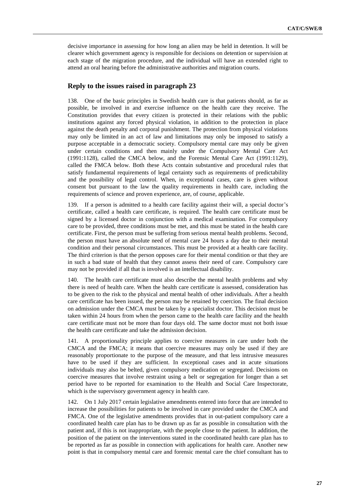decisive importance in assessing for how long an alien may be held in detention. It will be clearer which government agency is responsible for decisions on detention or supervision at each stage of the migration procedure, and the individual will have an extended right to attend an oral hearing before the administrative authorities and migration courts.

### **Reply to the issues raised in paragraph 23**

138. One of the basic principles in Swedish health care is that patients should, as far as possible, be involved in and exercise influence on the health care they receive. The Constitution provides that every citizen is protected in their relations with the public institutions against any forced physical violation, in addition to the protection in place against the death penalty and corporal punishment. The protection from physical violations may only be limited in an act of law and limitations may only be imposed to satisfy a purpose acceptable in a democratic society. Compulsory mental care may only be given under certain conditions and then mainly under the Compulsory Mental Care Act (1991:1128), called the CMCA below, and the Forensic Mental Care Act (1991:1129), called the FMCA below. Both these Acts contain substantive and procedural rules that satisfy fundamental requirements of legal certainty such as requirements of predictability and the possibility of legal control. When, in exceptional cases, care is given without consent but pursuant to the law the quality requirements in health care, including the requirements of science and proven experience, are, of course, applicable.

139. If a person is admitted to a health care facility against their will, a special doctor's certificate, called a health care certificate, is required. The health care certificate must be signed by a licensed doctor in conjunction with a medical examination. For compulsory care to be provided, three conditions must be met, and this must be stated in the health care certificate. First, the person must be suffering from serious mental health problems. Second, the person must have an absolute need of mental care 24 hours a day due to their mental condition and their personal circumstances. This must be provided at a health care facility. The third criterion is that the person opposes care for their mental condition or that they are in such a bad state of health that they cannot assess their need of care. Compulsory care may not be provided if all that is involved is an intellectual disability.

140. The health care certificate must also describe the mental health problems and why there is need of health care. When the health care certificate is assessed, consideration has to be given to the risk to the physical and mental health of other individuals. After a health care certificate has been issued, the person may be retained by coercion. The final decision on admission under the CMCA must be taken by a specialist doctor. This decision must be taken within 24 hours from when the person came to the health care facility and the health care certificate must not be more than four days old. The same doctor must not both issue the health care certificate and take the admission decision.

141. A proportionality principle applies to coercive measures in care under both the CMCA and the FMCA; it means that coercive measures may only be used if they are reasonably proportionate to the purpose of the measure, and that less intrusive measures have to be used if they are sufficient. In exceptional cases and in acute situations individuals may also be belted, given compulsory medication or segregated. Decisions on coercive measures that involve restraint using a belt or segregation for longer than a set period have to be reported for examination to the Health and Social Care Inspectorate, which is the supervisory government agency in health care.

On 1 July 2017 certain legislative amendments entered into force that are intended to increase the possibilities for patients to be involved in care provided under the CMCA and FMCA. One of the legislative amendments provides that in out-patient compulsory care a coordinated health care plan has to be drawn up as far as possible in consultation with the patient and, if this is not inappropriate, with the people close to the patient. In addition, the position of the patient on the interventions stated in the coordinated health care plan has to be reported as far as possible in connection with applications for health care. Another new point is that in compulsory mental care and forensic mental care the chief consultant has to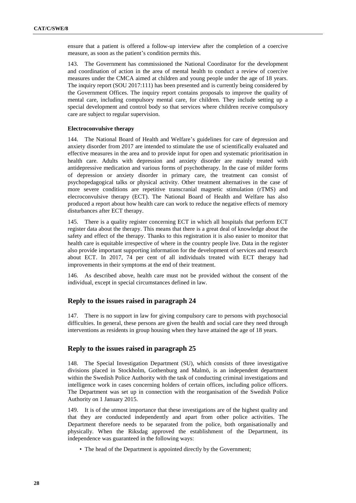ensure that a patient is offered a follow-up interview after the completion of a coercive measure, as soon as the patient's condition permits this.

143. The Government has commissioned the National Coordinator for the development and coordination of action in the area of mental health to conduct a review of coercive measures under the CMCA aimed at children and young people under the age of 18 years. The inquiry report (SOU 2017:111) has been presented and is currently being considered by the Government Offices. The inquiry report contains proposals to improve the quality of mental care, including compulsory mental care, for children. They include setting up a special development and control body so that services where children receive compulsory care are subject to regular supervision.

#### **Electroconvulsive therapy**

144. The National Board of Health and Welfare's guidelines for care of depression and anxiety disorder from 2017 are intended to stimulate the use of scientifically evaluated and effective measures in the area and to provide input for open and systematic prioritisation in health care. Adults with depression and anxiety disorder are mainly treated with antidepressive medication and various forms of psychotherapy. In the case of milder forms of depression or anxiety disorder in primary care, the treatment can consist of psychopedagogical talks or physical activity. Other treatment alternatives in the case of more severe conditions are repetitive transcranial magnetic stimulation (rTMS) and elecroconvulsive therapy (ECT). The National Board of Health and Welfare has also produced a report about how health care can work to reduce the negative effects of memory disturbances after ECT therapy.

145. There is a quality register concerning ECT in which all hospitals that perform ECT register data about the therapy. This means that there is a great deal of knowledge about the safety and effect of the therapy. Thanks to this registration it is also easier to monitor that health care is equitable irrespective of where in the country people live. Data in the register also provide important supporting information for the development of services and research about ECT. In 2017, 74 per cent of all individuals treated with ECT therapy had improvements in their symptoms at the end of their treatment.

146. As described above, health care must not be provided without the consent of the individual, except in special circumstances defined in law.

# **Reply to the issues raised in paragraph 24**

147. There is no support in law for giving compulsory care to persons with psychosocial difficulties. In general, these persons are given the health and social care they need through interventions as residents in group housing when they have attained the age of 18 years.

# **Reply to the issues raised in paragraph 25**

148. The Special Investigation Department (SU), which consists of three investigative divisions placed in Stockholm, Gothenburg and Malmö, is an independent department within the Swedish Police Authority with the task of conducting criminal investigations and intelligence work in cases concerning holders of certain offices, including police officers. The Department was set up in connection with the reorganisation of the Swedish Police Authority on 1 January 2015.

149. It is of the utmost importance that these investigations are of the highest quality and that they are conducted independently and apart from other police activities. The Department therefore needs to be separated from the police, both organisationally and physically. When the Riksdag approved the establishment of the Department, its independence was guaranteed in the following ways:

• The head of the Department is appointed directly by the Government;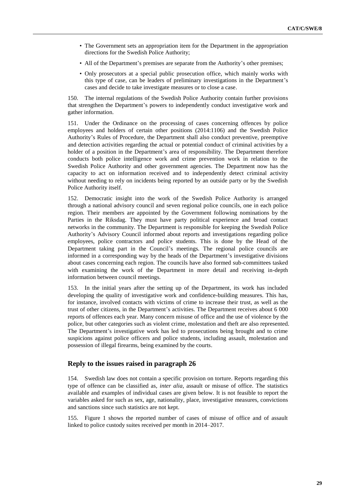- The Government sets an appropriation item for the Department in the appropriation directions for the Swedish Police Authority;
- All of the Department's premises are separate from the Authority's other premises;
- Only prosecutors at a special public prosecution office, which mainly works with this type of case, can be leaders of preliminary investigations in the Department's cases and decide to take investigate measures or to close a case.

150. The internal regulations of the Swedish Police Authority contain further provisions that strengthen the Department's powers to independently conduct investigative work and gather information.

151. Under the Ordinance on the processing of cases concerning offences by police employees and holders of certain other positions (2014:1106) and the Swedish Police Authority's Rules of Procedure, the Department shall also conduct preventive, preemptive and detection activities regarding the actual or potential conduct of criminal activities by a holder of a position in the Department's area of responsibility. The Department therefore conducts both police intelligence work and crime prevention work in relation to the Swedish Police Authority and other government agencies. The Department now has the capacity to act on information received and to independently detect criminal activity without needing to rely on incidents being reported by an outside party or by the Swedish Police Authority itself.

152. Democratic insight into the work of the Swedish Police Authority is arranged through a national advisory council and seven regional police councils, one in each police region. Their members are appointed by the Government following nominations by the Parties in the Riksdag. They must have party political experience and broad contact networks in the community. The Department is responsible for keeping the Swedish Police Authority's Advisory Council informed about reports and investigations regarding police employees, police contractors and police students. This is done by the Head of the Department taking part in the Council's meetings. The regional police councils are informed in a corresponding way by the heads of the Department's investigative divisions about cases concerning each region. The councils have also formed sub-committees tasked with examining the work of the Department in more detail and receiving in-depth information between council meetings.

153. In the initial years after the setting up of the Department, its work has included developing the quality of investigative work and confidence-building measures. This has, for instance, involved contacts with victims of crime to increase their trust, as well as the trust of other citizens, in the Department's activities. The Department receives about 6 000 reports of offences each year. Many concern misuse of office and the use of violence by the police, but other categories such as violent crime, molestation and theft are also represented. The Department's investigative work has led to prosecutions being brought and to crime suspicions against police officers and police students, including assault, molestation and possession of illegal firearms, being examined by the courts.

# **Reply to the issues raised in paragraph 26**

154. Swedish law does not contain a specific provision on torture. Reports regarding this type of offence can be classified as, *inter alia*, assault or misuse of office. The statistics available and examples of individual cases are given below. It is not feasible to report the variables asked for such as sex, age, nationality, place, investigative measures, convictions and sanctions since such statistics are not kept.

155. Figure 1 shows the reported number of cases of misuse of office and of assault linked to police custody suites received per month in 2014–2017.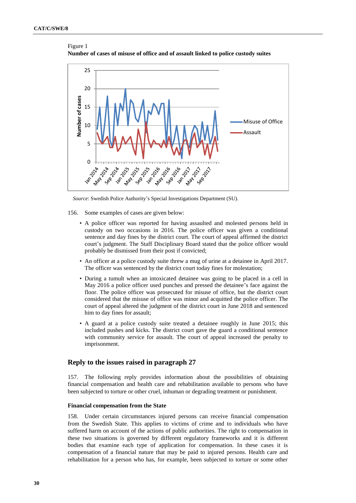



*Source*: Swedish Police Authority's Special Investigations Department (SU).

- 156. Some examples of cases are given below:
	- A police officer was reported for having assaulted and molested persons held in custody on two occasions in 2016. The police officer was given a conditional sentence and day fines by the district court. The court of appeal affirmed the district court's judgment. The Staff Disciplinary Board stated that the police officer would probably be dismissed from their post if convicted;
	- An officer at a police custody suite threw a mug of urine at a detainee in April 2017. The officer was sentenced by the district court today fines for molestation;
	- During a tumult when an intoxicated detainee was going to be placed in a cell in May 2016 a police officer used punches and pressed the detainee's face against the floor. The police officer was prosecuted for misuse of office, but the district court considered that the misuse of office was minor and acquitted the police officer. The court of appeal altered the judgment of the district court in June 2018 and sentenced him to day fines for assault;
	- A guard at a police custody suite treated a detainee roughly in June 2015; this included pushes and kicks. The district court gave the guard a conditional sentence with community service for assault. The court of appeal increased the penalty to imprisonment.

157. The following reply provides information about the possibilities of obtaining financial compensation and health care and rehabilitation available to persons who have been subjected to torture or other cruel, inhuman or degrading treatment or punishment.

### **Financial compensation from the State**

158. Under certain circumstances injured persons can receive financial compensation from the Swedish State. This applies to victims of crime and to individuals who have suffered harm on account of the actions of public authorities. The right to compensation in these two situations is governed by different regulatory frameworks and it is different bodies that examine each type of application for compensation. In these cases it is compensation of a financial nature that may be paid to injured persons. Health care and rehabilitation for a person who has, for example, been subjected to torture or some other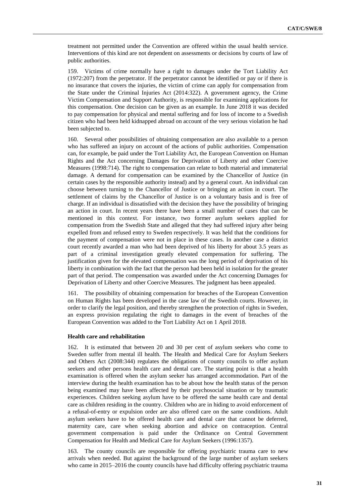treatment not permitted under the Convention are offered within the usual health service. Interventions of this kind are not dependent on assessments or decisions by courts of law of public authorities.

159. Victims of crime normally have a right to damages under the Tort Liability Act (1972:207) from the perpetrator. If the perpetrator cannot be identified or pay or if there is no insurance that covers the injuries, the victim of crime can apply for compensation from the State under the Criminal Injuries Act (2014:322). A government agency, the Crime Victim Compensation and Support Authority, is responsible for examining applications for this compensation. One decision can be given as an example. In June 2018 it was decided to pay compensation for physical and mental suffering and for loss of income to a Swedish citizen who had been held kidnapped abroad on account of the very serious violation he had been subjected to.

160. Several other possibilities of obtaining compensation are also available to a person who has suffered an injury on account of the actions of public authorities. Compensation can, for example, be paid under the Tort Liability Act, the European Convention on Human Rights and the Act concerning Damages for Deprivation of Liberty and other Coercive Measures (1998:714). The right to compensation can relate to both material and immaterial damage. A demand for compensation can be examined by the Chancellor of Justice (in certain cases by the responsible authority instead) and by a general court. An individual can choose between turning to the Chancellor of Justice or bringing an action in court. The settlement of claims by the Chancellor of Justice is on a voluntary basis and is free of charge. If an individual is dissatisfied with the decision they have the possibility of bringing an action in court. In recent years there have been a small number of cases that can be mentioned in this context. For instance, two former asylum seekers applied for compensation from the Swedish State and alleged that they had suffered injury after being expelled from and refused entry to Sweden respectively. It was held that the conditions for the payment of compensation were not in place in these cases. In another case a district court recently awarded a man who had been deprived of his liberty for about 3.5 years as part of a criminal investigation greatly elevated compensation for suffering. The justification given for the elevated compensation was the long period of deprivation of his liberty in combination with the fact that the person had been held in isolation for the greater part of that period. The compensation was awarded under the Act concerning Damages for Deprivation of Liberty and other Coercive Measures. The judgment has been appealed.

161. The possibility of obtaining compensation for breaches of the European Convention on Human Rights has been developed in the case law of the Swedish courts. However, in order to clarify the legal position, and thereby strengthen the protection of rights in Sweden, an express provision regulating the right to damages in the event of breaches of the European Convention was added to the Tort Liability Act on 1 April 2018.

#### **Health care and rehabilitation**

162. It is estimated that between 20 and 30 per cent of asylum seekers who come to Sweden suffer from mental ill health. The Health and Medical Care for Asylum Seekers and Others Act (2008:344) regulates the obligations of county councils to offer asylum seekers and other persons health care and dental care. The starting point is that a health examination is offered when the asylum seeker has arranged accommodation. Part of the interview during the health examination has to be about how the health status of the person being examined may have been affected by their psychosocial situation or by traumatic experiences. Children seeking asylum have to be offered the same health care and dental care as children residing in the country. Children who are in hiding to avoid enforcement of a refusal-of-entry or expulsion order are also offered care on the same conditions. Adult asylum seekers have to be offered health care and dental care that cannot be deferred, maternity care, care when seeking abortion and advice on contraception. Central government compensation is paid under the Ordinance on Central Government Compensation for Health and Medical Care for Asylum Seekers (1996:1357).

163. The county councils are responsible for offering psychiatric trauma care to new arrivals when needed. But against the background of the large number of asylum seekers who came in 2015–2016 the county councils have had difficulty offering psychiatric trauma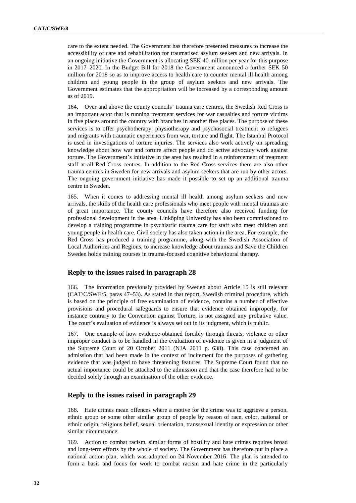care to the extent needed. The Government has therefore presented measures to increase the accessibility of care and rehabilitation for traumatised asylum seekers and new arrivals. In an ongoing initiative the Government is allocating SEK 40 million per year for this purpose in 2017–2020. In the Budget Bill for 2018 the Government announced a further SEK 50 million for 2018 so as to improve access to health care to counter mental ill health among children and young people in the group of asylum seekers and new arrivals. The Government estimates that the appropriation will be increased by a corresponding amount as of 2019.

164. Over and above the county councils' trauma care centres, the Swedish Red Cross is an important actor that is running treatment services for war casualties and torture victims in five places around the country with branches in another five places. The purpose of these services is to offer psychotherapy, physiotherapy and psychosocial treatment to refugees and migrants with traumatic experiences from war, torture and flight. The Istanbul Protocol is used in investigations of torture injuries. The services also work actively on spreading knowledge about how war and torture affect people and do active advocacy work against torture. The Government's initiative in the area has resulted in a reinforcement of treatment staff at all Red Cross centres. In addition to the Red Cross services there are also other trauma centres in Sweden for new arrivals and asylum seekers that are run by other actors. The ongoing government initiative has made it possible to set up an additional trauma centre in Sweden.

165. When it comes to addressing mental ill health among asylum seekers and new arrivals, the skills of the health care professionals who meet people with mental traumas are of great importance. The county councils have therefore also received funding for professional development in the area. Linköping University has also been commissioned to develop a training programme in psychiatric trauma care for staff who meet children and young people in health care. Civil society has also taken action in the area. For example, the Red Cross has produced a training programme, along with the Swedish Association of Local Authorities and Regions, to increase knowledge about traumas and Save the Children Sweden holds training courses in trauma-focused cognitive behavioural therapy.

# **Reply to the issues raised in paragraph 28**

166. The information previously provided by Sweden about Article 15 is still relevant (CAT/C/SWE/5, paras 47–53). As stated in that report, Swedish criminal procedure, which is based on the principle of free examination of evidence, contains a number of effective provisions and procedural safeguards to ensure that evidence obtained improperly, for instance contrary to the Convention against Torture, is not assigned any probative value. The court's evaluation of evidence is always set out in its judgment, which is public.

167. One example of how evidence obtained forcibly through threats, violence or other improper conduct is to be handled in the evaluation of evidence is given in a judgment of the Supreme Court of 20 October 2011 (NJA 2011 p. 638). This case concerned an admission that had been made in the context of incitement for the purposes of gathering evidence that was judged to have threatening features. The Supreme Court found that no actual importance could be attached to the admission and that the case therefore had to be decided solely through an examination of the other evidence.

# **Reply to the issues raised in paragraph 29**

168. Hate crimes mean offences where a motive for the crime was to aggrieve a person, ethnic group or some other similar group of people by reason of race, color, national or ethnic origin, religious belief, sexual orientation, transsexual identity or expression or other similar circumstance.

Action to combat racism, similar forms of hostility and hate crimes requires broad and long-term efforts by the whole of society. The Government has therefore put in place a national action plan, which was adopted on 24 November 2016. The plan is intended to form a basis and focus for work to combat racism and hate crime in the particularly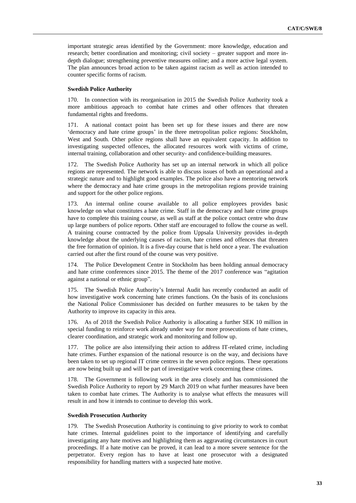important strategic areas identified by the Government: more knowledge, education and research; better coordination and monitoring; civil society – greater support and more indepth dialogue; strengthening preventive measures online; and a more active legal system. The plan announces broad action to be taken against racism as well as action intended to counter specific forms of racism.

### **Swedish Police Authority**

170. In connection with its reorganisation in 2015 the Swedish Police Authority took a more ambitious approach to combat hate crimes and other offences that threaten fundamental rights and freedoms.

171. A national contact point has been set up for these issues and there are now 'democracy and hate crime groups' in the three metropolitan police regions: Stockholm, West and South. Other police regions shall have an equivalent capacity. In addition to investigating suspected offences, the allocated resources work with victims of crime, internal training, collaboration and other security- and confidence-building measures.

172. The Swedish Police Authority has set up an internal network in which all police regions are represented. The network is able to discuss issues of both an operational and a strategic nature and to highlight good examples. The police also have a mentoring network where the democracy and hate crime groups in the metropolitan regions provide training and support for the other police regions.

173. An internal online course available to all police employees provides basic knowledge on what constitutes a hate crime. Staff in the democracy and hate crime groups have to complete this training course, as well as staff at the police contact centre who draw up large numbers of police reports. Other staff are encouraged to follow the course as well. A training course contracted by the police from Uppsala University provides in-depth knowledge about the underlying causes of racism, hate crimes and offences that threaten the free formation of opinion. It is a five-day course that is held once a year. The evaluation carried out after the first round of the course was very positive.

174. The Police Development Centre in Stockholm has been holding annual democracy and hate crime conferences since 2015. The theme of the 2017 conference was "agitation against a national or ethnic group".

175. The Swedish Police Authority's Internal Audit has recently conducted an audit of how investigative work concerning hate crimes functions. On the basis of its conclusions the National Police Commissioner has decided on further measures to be taken by the Authority to improve its capacity in this area.

176. As of 2018 the Swedish Police Authority is allocating a further SEK 10 million in special funding to reinforce work already under way for more prosecutions of hate crimes, clearer coordination, and strategic work and monitoring and follow up.

177. The police are also intensifying their action to address IT-related crime, including hate crimes. Further expansion of the national resource is on the way, and decisions have been taken to set up regional IT crime centres in the seven police regions. These operations are now being built up and will be part of investigative work concerning these crimes.

178. The Government is following work in the area closely and has commissioned the Swedish Police Authority to report by 29 March 2019 on what further measures have been taken to combat hate crimes. The Authority is to analyse what effects the measures will result in and how it intends to continue to develop this work.

#### **Swedish Prosecution Authority**

179. The Swedish Prosecution Authority is continuing to give priority to work to combat hate crimes. Internal guidelines point to the importance of identifying and carefully investigating any hate motives and highlighting them as aggravating circumstances in court proceedings. If a hate motive can be proved, it can lead to a more severe sentence for the perpetrator. Every region has to have at least one prosecutor with a designated responsibility for handling matters with a suspected hate motive.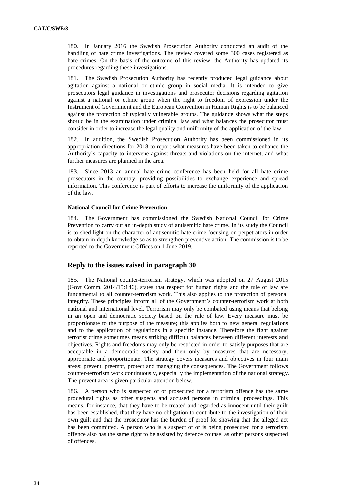180. In January 2016 the Swedish Prosecution Authority conducted an audit of the handling of hate crime investigations. The review covered some 300 cases registered as hate crimes. On the basis of the outcome of this review, the Authority has updated its procedures regarding these investigations.

181. The Swedish Prosecution Authority has recently produced legal guidance about agitation against a national or ethnic group in social media. It is intended to give prosecutors legal guidance in investigations and prosecutor decisions regarding agitation against a national or ethnic group when the right to freedom of expression under the Instrument of Government and the European Convention in Human Rights is to be balanced against the protection of typically vulnerable groups. The guidance shows what the steps should be in the examination under criminal law and what balances the prosecutor must consider in order to increase the legal quality and uniformity of the application of the law.

182. In addition, the Swedish Prosecution Authority has been commissioned in its appropriation directions for 2018 to report what measures have been taken to enhance the Authority's capacity to intervene against threats and violations on the internet, and what further measures are planned in the area.

183. Since 2013 an annual hate crime conference has been held for all hate crime prosecutors in the country, providing possibilities to exchange experience and spread information. This conference is part of efforts to increase the uniformity of the application of the law.

# **National Council for Crime Prevention**

184. The Government has commissioned the Swedish National Council for Crime Prevention to carry out an in-depth study of antisemitic hate crime. In its study the Council is to shed light on the character of antisemitic hate crime focusing on perpetrators in order to obtain in-depth knowledge so as to strengthen preventive action. The commission is to be reported to the Government Offices on 1 June 2019.

# **Reply to the issues raised in paragraph 30**

185. The National counter-terrorism strategy, which was adopted on 27 August 2015 (Govt Comm. 2014/15:146), states that respect for human rights and the rule of law are fundamental to all counter-terrorism work. This also applies to the protection of personal integrity. These principles inform all of the Government's counter-terrorism work at both national and international level. Terrorism may only be combated using means that belong in an open and democratic society based on the rule of law. Every measure must be proportionate to the purpose of the measure; this applies both to new general regulations and to the application of regulations in a specific instance. Therefore the fight against terrorist crime sometimes means striking difficult balances between different interests and objectives. Rights and freedoms may only be restricted in order to satisfy purposes that are acceptable in a democratic society and then only by measures that are necessary, appropriate and proportionate. The strategy covers measures and objectives in four main areas: prevent, preempt, protect and managing the consequences. The Government follows counter-terrorism work continuously, especially the implementation of the national strategy. The prevent area is given particular attention below.

186. A person who is suspected of or prosecuted for a terrorism offence has the same procedural rights as other suspects and accused persons in criminal proceedings. This means, for instance, that they have to be treated and regarded as innocent until their guilt has been established, that they have no obligation to contribute to the investigation of their own guilt and that the prosecutor has the burden of proof for showing that the alleged act has been committed. A person who is a suspect of or is being prosecuted for a terrorism offence also has the same right to be assisted by defence counsel as other persons suspected of offences.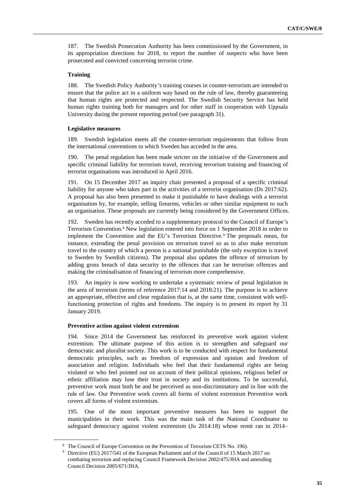187. The Swedish Prosecution Authority has been commissioned by the Government, in its appropriation directions for 2018, to report the number of suspects who have been prosecuted and convicted concerning terrorist crime.

### **Training**

188. The Swedish Policy Authority's training courses in counter-terrorism are intended to ensure that the police act in a uniform way based on the rule of law, thereby guaranteeing that human rights are protected and respected. The Swedish Security Service has held human rights training both for managers and for other staff in cooperation with Uppsala University during the present reporting period (see paragraph 31).

### **Legislative measures**

189. Swedish legislation meets all the counter-terrorism requirements that follow from the international conventions to which Sweden has acceded in the area.

190. The penal regulation has been made stricter on the initiative of the Government and specific criminal liability for terrorism travel, receiving terrorism training and financing of terrorist organisations was introduced in April 2016.

191. On 15 December 2017 an inquiry chair presented a proposal of a specific criminal liability for anyone who takes part in the activities of a terrorist organisation (Ds 2017:62). A proposal has also been presented to make it punishable to have dealings with a terrorist organisation by, for example, selling firearms, vehicles or other similar equipment to such an organisation. These proposals are currently being considered by the Government Offices.

192. Sweden has recently acceded to a supplementary protocol to the Council of Europe's Terrorism Convention.<sup>8</sup> New legislation entered into force on 1 September 2018 in order to implement the Convention and the EU's Terrorism Directive.<sup>9</sup> The proposals mean, for instance, extending the penal provision on terrorism travel so as to also make terrorism travel to the country of which a person is a national punishable (the only exception is travel to Sweden by Swedish citizens). The proposal also updates the offence of terrorism by adding gross breach of data security to the offences that can be terrorism offences and making the criminalisation of financing of terrorism more comprehensive.

193. An inquiry is now working to undertake a systematic review of penal legislation in the area of terrorism (terms of reference 2017:14 and 2018:21). The purpose is to achieve an appropriate, effective and clear regulation that is, at the same time, consistent with wellfunctioning protection of rights and freedoms. The inquiry is to present its report by 31 January 2019.

# **Preventive action against violent extremism**

194. Since 2014 the Government has reinforced its preventive work against violent extremism. The ultimate purpose of this action is to strengthen and safeguard our democratic and pluralist society. This work is to be conducted with respect for fundamental democratic principles, such as freedom of expression and opinion and freedom of association and religion. Individuals who feel that their fundamental rights are being violated or who feel pointed out on account of their political opinions, religious belief or ethnic affiliation may lose their trust in society and its institutions. To be successful, preventive work must both be and be perceived as non-discriminatory and in line with the rule of law. Our Preventive work covers all forms of violent extremism Preventive work covers all forms of violent extremism.

195. One of the most important preventive measures has been to support the municipalities in their work. This was the main task of the National Coordinator to safeguard democracy against violent extremism (Ju 2014:18) whose remit ran in 2014–

<sup>8</sup> The Council of Europe Convention on the Prevention of Terrorism CETS No. 196).

Directive (EU) 2017/541 of the European Parliament and of the Council of 15 March 2017 on combating terrorism and replacing Council Framework Decision 2002/475/JHA and amending Council Decision 2005/671/JHA.